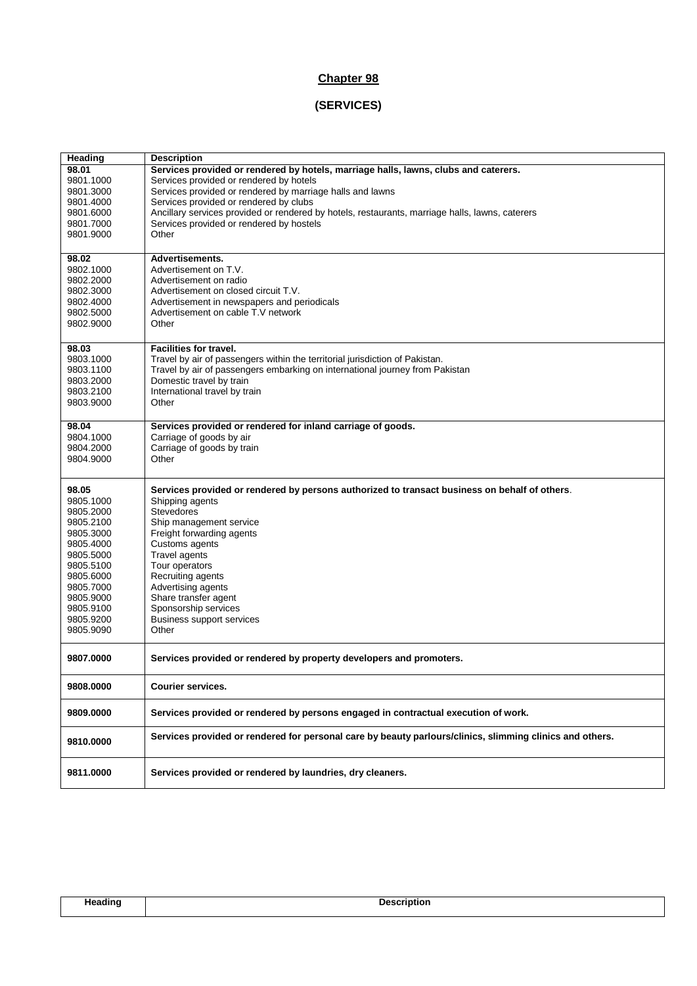# **Chapter 98**

# **(SERVICES)**

| Heading   | <b>Description</b>                                                                                       |
|-----------|----------------------------------------------------------------------------------------------------------|
| 98.01     | Services provided or rendered by hotels, marriage halls, lawns, clubs and caterers.                      |
| 9801.1000 | Services provided or rendered by hotels                                                                  |
| 9801.3000 | Services provided or rendered by marriage halls and lawns                                                |
| 9801.4000 | Services provided or rendered by clubs                                                                   |
| 9801.6000 | Ancillary services provided or rendered by hotels, restaurants, marriage halls, lawns, caterers          |
| 9801.7000 | Services provided or rendered by hostels                                                                 |
| 9801.9000 | Other                                                                                                    |
|           |                                                                                                          |
| 98.02     | <b>Advertisements.</b>                                                                                   |
| 9802.1000 | Advertisement on T.V.                                                                                    |
| 9802.2000 | Advertisement on radio                                                                                   |
| 9802.3000 | Advertisement on closed circuit T.V.                                                                     |
| 9802.4000 | Advertisement in newspapers and periodicals                                                              |
| 9802.5000 | Advertisement on cable T.V network                                                                       |
| 9802.9000 | Other                                                                                                    |
|           |                                                                                                          |
| 98.03     | <b>Facilities for travel.</b>                                                                            |
| 9803.1000 | Travel by air of passengers within the territorial jurisdiction of Pakistan.                             |
| 9803.1100 | Travel by air of passengers embarking on international journey from Pakistan                             |
| 9803.2000 | Domestic travel by train                                                                                 |
|           | International travel by train                                                                            |
| 9803.2100 |                                                                                                          |
| 9803.9000 | Other                                                                                                    |
| 98.04     | Services provided or rendered for inland carriage of goods.                                              |
| 9804.1000 | Carriage of goods by air                                                                                 |
| 9804.2000 | Carriage of goods by train                                                                               |
| 9804.9000 | Other                                                                                                    |
|           |                                                                                                          |
| 98.05     | Services provided or rendered by persons authorized to transact business on behalf of others.            |
|           |                                                                                                          |
| 9805.1000 | Shipping agents<br><b>Stevedores</b>                                                                     |
| 9805.2000 |                                                                                                          |
| 9805.2100 | Ship management service                                                                                  |
| 9805.3000 | Freight forwarding agents                                                                                |
| 9805.4000 | Customs agents                                                                                           |
| 9805.5000 | Travel agents                                                                                            |
| 9805.5100 | Tour operators                                                                                           |
| 9805.6000 | Recruiting agents                                                                                        |
| 9805.7000 | Advertising agents                                                                                       |
| 9805.9000 | Share transfer agent                                                                                     |
| 9805.9100 | Sponsorship services                                                                                     |
| 9805.9200 | <b>Business support services</b>                                                                         |
| 9805.9090 | Other                                                                                                    |
|           |                                                                                                          |
| 9807.0000 | Services provided or rendered by property developers and promoters.                                      |
| 9808.0000 |                                                                                                          |
|           | <b>Courier services.</b>                                                                                 |
| 9809.0000 | Services provided or rendered by persons engaged in contractual execution of work.                       |
| 9810.0000 | Services provided or rendered for personal care by beauty parlours/clinics, slimming clinics and others. |
| 9811.0000 | Services provided or rendered by laundries, dry cleaners.                                                |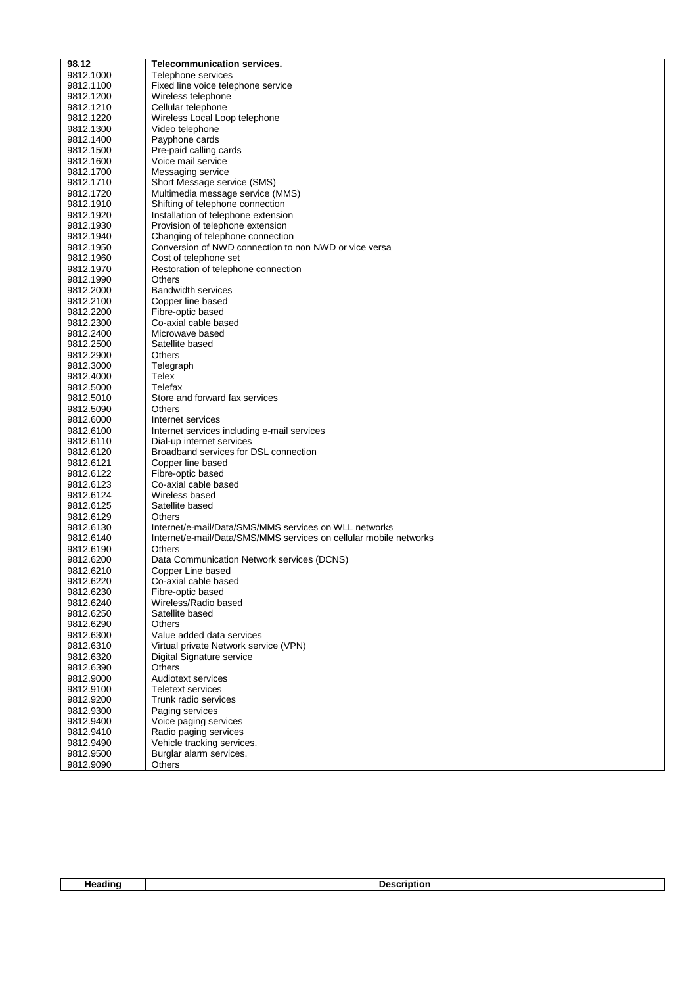| 98.12                  | <b>Telecommunication services.</b>                                |
|------------------------|-------------------------------------------------------------------|
| 9812.1000              | Telephone services                                                |
| 9812.1100              | Fixed line voice telephone service                                |
| 9812.1200              | Wireless telephone                                                |
|                        |                                                                   |
| 9812.1210              | Cellular telephone                                                |
| 9812.1220              | Wireless Local Loop telephone                                     |
| 9812.1300              | Video telephone                                                   |
| 9812.1400              | Payphone cards                                                    |
| 9812.1500              | Pre-paid calling cards                                            |
| 9812.1600              | Voice mail service                                                |
| 9812.1700              | Messaging service                                                 |
| 9812.1710              | Short Message service (SMS)                                       |
| 9812.1720              | Multimedia message service (MMS)                                  |
| 9812.1910              | Shifting of telephone connection                                  |
| 9812.1920              | Installation of telephone extension                               |
| 9812.1930              | Provision of telephone extension                                  |
| 9812.1940              | Changing of telephone connection                                  |
| 9812.1950              | Conversion of NWD connection to non NWD or vice versa             |
| 9812.1960              | Cost of telephone set                                             |
| 9812.1970              | Restoration of telephone connection                               |
| 9812.1990              | Others                                                            |
| 9812.2000              | <b>Bandwidth services</b>                                         |
| 9812.2100              | Copper line based                                                 |
| 9812.2200              | Fibre-optic based                                                 |
| 9812.2300              | Co-axial cable based                                              |
| 9812.2400              | Microwave based                                                   |
| 9812.2500              | Satellite based                                                   |
| 9812.2900              | <b>Others</b>                                                     |
| 9812.3000              | Telegraph                                                         |
| 9812.4000              | Telex                                                             |
| 9812.5000              | Telefax                                                           |
| 9812.5010              | Store and forward fax services                                    |
| 9812.5090              | <b>Others</b>                                                     |
| 9812.6000              | Internet services                                                 |
| 9812.6100              | Internet services including e-mail services                       |
| 9812.6110              | Dial-up internet services                                         |
| 9812.6120              | Broadband services for DSL connection                             |
| 9812.6121              | Copper line based                                                 |
| 9812.6122              | Fibre-optic based                                                 |
| 9812.6123              | Co-axial cable based                                              |
| 9812.6124              | Wireless based                                                    |
| 9812.6125              | Satellite based                                                   |
| 9812.6129              | <b>Others</b>                                                     |
| 9812.6130              | Internet/e-mail/Data/SMS/MMS services on WLL networks             |
| 9812.6140              | Internet/e-mail/Data/SMS/MMS services on cellular mobile networks |
| 9812.6190              | <b>Others</b>                                                     |
| 9812.6200              | Data Communication Network services (DCNS)                        |
| 9812.6210              | Copper Line based                                                 |
| 9812.6220              | Co-axial cable based                                              |
| 9812.6230              | Fibre-optic based<br>Wireless/Radio based                         |
| 9812.6240<br>9812.6250 | Satellite based                                                   |
| 9812.6290              | Others                                                            |
| 9812.6300              | Value added data services                                         |
| 9812.6310              | Virtual private Network service (VPN)                             |
| 9812.6320              | Digital Signature service                                         |
| 9812.6390              | Others                                                            |
| 9812.9000              | Audiotext services                                                |
| 9812.9100              | <b>Teletext services</b>                                          |
| 9812.9200              | Trunk radio services                                              |
| 9812.9300              | Paging services                                                   |
| 9812.9400              | Voice paging services                                             |
| 9812.9410              | Radio paging services                                             |
| 9812.9490              | Vehicle tracking services.                                        |
| 9812.9500              | Burglar alarm services.                                           |
| 9812.9090              | Others                                                            |
|                        |                                                                   |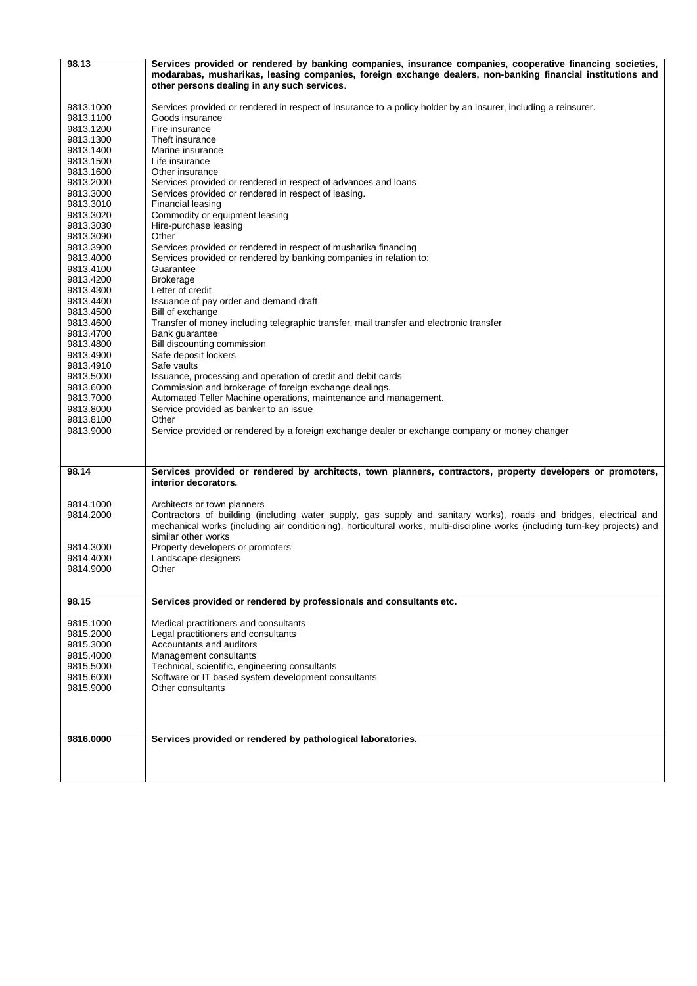| 98.13                  | Services provided or rendered by banking companies, insurance companies, cooperative financing societies,<br>modarabas, musharikas, leasing companies, foreign exchange dealers, non-banking financial institutions and<br>other persons dealing in any such services. |
|------------------------|------------------------------------------------------------------------------------------------------------------------------------------------------------------------------------------------------------------------------------------------------------------------|
| 9813.1000              | Services provided or rendered in respect of insurance to a policy holder by an insurer, including a reinsurer.<br>Goods insurance                                                                                                                                      |
| 9813.1100              |                                                                                                                                                                                                                                                                        |
| 9813.1200              | Fire insurance                                                                                                                                                                                                                                                         |
| 9813.1300              | Theft insurance                                                                                                                                                                                                                                                        |
| 9813.1400              | Marine insurance                                                                                                                                                                                                                                                       |
| 9813.1500              | Life insurance                                                                                                                                                                                                                                                         |
| 9813.1600              | Other insurance                                                                                                                                                                                                                                                        |
| 9813.2000              | Services provided or rendered in respect of advances and loans<br>Services provided or rendered in respect of leasing.                                                                                                                                                 |
| 9813.3000<br>9813.3010 | <b>Financial leasing</b>                                                                                                                                                                                                                                               |
| 9813.3020              | Commodity or equipment leasing                                                                                                                                                                                                                                         |
| 9813.3030              | Hire-purchase leasing                                                                                                                                                                                                                                                  |
| 9813.3090              | Other                                                                                                                                                                                                                                                                  |
| 9813.3900              | Services provided or rendered in respect of musharika financing                                                                                                                                                                                                        |
| 9813.4000              | Services provided or rendered by banking companies in relation to:                                                                                                                                                                                                     |
| 9813.4100              | Guarantee                                                                                                                                                                                                                                                              |
| 9813.4200              | <b>Brokerage</b>                                                                                                                                                                                                                                                       |
| 9813.4300              | Letter of credit                                                                                                                                                                                                                                                       |
| 9813.4400              | Issuance of pay order and demand draft                                                                                                                                                                                                                                 |
| 9813.4500              | Bill of exchange                                                                                                                                                                                                                                                       |
| 9813.4600              | Transfer of money including telegraphic transfer, mail transfer and electronic transfer                                                                                                                                                                                |
| 9813.4700              | Bank quarantee                                                                                                                                                                                                                                                         |
| 9813.4800              | Bill discounting commission                                                                                                                                                                                                                                            |
| 9813.4900              | Safe deposit lockers                                                                                                                                                                                                                                                   |
| 9813.4910              | Safe vaults                                                                                                                                                                                                                                                            |
| 9813.5000              | Issuance, processing and operation of credit and debit cards                                                                                                                                                                                                           |
| 9813.6000              | Commission and brokerage of foreign exchange dealings.                                                                                                                                                                                                                 |
| 9813.7000              | Automated Teller Machine operations, maintenance and management.                                                                                                                                                                                                       |
| 9813.8000              | Service provided as banker to an issue                                                                                                                                                                                                                                 |
| 9813.8100              | Other                                                                                                                                                                                                                                                                  |
| 9813.9000              | Service provided or rendered by a foreign exchange dealer or exchange company or money changer                                                                                                                                                                         |
|                        |                                                                                                                                                                                                                                                                        |
|                        |                                                                                                                                                                                                                                                                        |
| 98.14                  | Services provided or rendered by architects, town planners, contractors, property developers or promoters,                                                                                                                                                             |
|                        | interior decorators.                                                                                                                                                                                                                                                   |
|                        |                                                                                                                                                                                                                                                                        |
| 9814.1000              | Architects or town planners                                                                                                                                                                                                                                            |
| 9814.2000              | Contractors of building (including water supply, gas supply and sanitary works), roads and bridges, electrical and                                                                                                                                                     |
|                        | mechanical works (including air conditioning), horticultural works, multi-discipline works (including turn-key projects) and                                                                                                                                           |
|                        | similar other works                                                                                                                                                                                                                                                    |
| 9814.3000              | Property developers or promoters                                                                                                                                                                                                                                       |
| 9814.4000              | Landscape designers                                                                                                                                                                                                                                                    |
| 9814.9000              | Other                                                                                                                                                                                                                                                                  |
|                        |                                                                                                                                                                                                                                                                        |
|                        |                                                                                                                                                                                                                                                                        |
| 98.15                  | Services provided or rendered by professionals and consultants etc.                                                                                                                                                                                                    |
|                        |                                                                                                                                                                                                                                                                        |
| 9815.1000              | Medical practitioners and consultants                                                                                                                                                                                                                                  |
| 9815.2000              | Legal practitioners and consultants<br>Accountants and auditors                                                                                                                                                                                                        |
| 9815.3000              |                                                                                                                                                                                                                                                                        |
| 9815.4000              | Management consultants                                                                                                                                                                                                                                                 |
| 9815.5000              | Technical, scientific, engineering consultants                                                                                                                                                                                                                         |
| 9815.6000              | Software or IT based system development consultants                                                                                                                                                                                                                    |
| 9815.9000              | Other consultants                                                                                                                                                                                                                                                      |
|                        |                                                                                                                                                                                                                                                                        |
|                        |                                                                                                                                                                                                                                                                        |
|                        |                                                                                                                                                                                                                                                                        |
| 9816.0000              | Services provided or rendered by pathological laboratories.                                                                                                                                                                                                            |
|                        |                                                                                                                                                                                                                                                                        |
|                        |                                                                                                                                                                                                                                                                        |
|                        |                                                                                                                                                                                                                                                                        |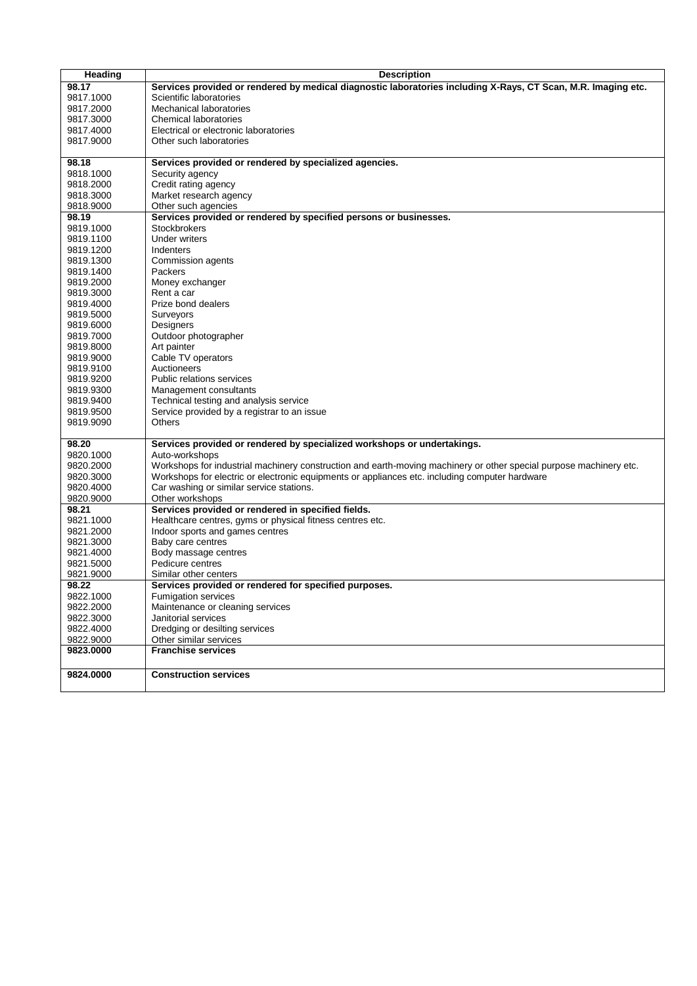| Services provided or rendered by medical diagnostic laboratories including X-Rays, CT Scan, M.R. Imaging etc.<br>98.17<br>Scientific laboratories<br>9817.1000<br>Mechanical laboratories<br>9817.2000<br>9817.3000<br>Chemical laboratories<br>9817.4000<br>Electrical or electronic laboratories<br>9817.9000<br>Other such laboratories<br>Services provided or rendered by specialized agencies.<br>98.18<br>Security agency<br>9818.1000<br>Credit rating agency<br>9818.2000<br>Market research agency<br>9818.3000<br>9818.9000<br>Other such agencies<br>Services provided or rendered by specified persons or businesses.<br>98.19<br><b>Stockbrokers</b><br>9819.1000<br>9819.1100<br>Under writers<br>9819.1200<br>Indenters<br>9819.1300<br>Commission agents<br>Packers<br>9819.1400<br>9819.2000<br>Money exchanger<br>9819.3000<br>Rent a car<br>Prize bond dealers<br>9819.4000<br>9819.5000<br>Surveyors<br>9819.6000<br>Designers<br>9819.7000<br>Outdoor photographer<br>9819.8000<br>Art painter |  |
|----------------------------------------------------------------------------------------------------------------------------------------------------------------------------------------------------------------------------------------------------------------------------------------------------------------------------------------------------------------------------------------------------------------------------------------------------------------------------------------------------------------------------------------------------------------------------------------------------------------------------------------------------------------------------------------------------------------------------------------------------------------------------------------------------------------------------------------------------------------------------------------------------------------------------------------------------------------------------------------------------------------------|--|
|                                                                                                                                                                                                                                                                                                                                                                                                                                                                                                                                                                                                                                                                                                                                                                                                                                                                                                                                                                                                                      |  |
|                                                                                                                                                                                                                                                                                                                                                                                                                                                                                                                                                                                                                                                                                                                                                                                                                                                                                                                                                                                                                      |  |
|                                                                                                                                                                                                                                                                                                                                                                                                                                                                                                                                                                                                                                                                                                                                                                                                                                                                                                                                                                                                                      |  |
|                                                                                                                                                                                                                                                                                                                                                                                                                                                                                                                                                                                                                                                                                                                                                                                                                                                                                                                                                                                                                      |  |
|                                                                                                                                                                                                                                                                                                                                                                                                                                                                                                                                                                                                                                                                                                                                                                                                                                                                                                                                                                                                                      |  |
|                                                                                                                                                                                                                                                                                                                                                                                                                                                                                                                                                                                                                                                                                                                                                                                                                                                                                                                                                                                                                      |  |
|                                                                                                                                                                                                                                                                                                                                                                                                                                                                                                                                                                                                                                                                                                                                                                                                                                                                                                                                                                                                                      |  |
|                                                                                                                                                                                                                                                                                                                                                                                                                                                                                                                                                                                                                                                                                                                                                                                                                                                                                                                                                                                                                      |  |
|                                                                                                                                                                                                                                                                                                                                                                                                                                                                                                                                                                                                                                                                                                                                                                                                                                                                                                                                                                                                                      |  |
|                                                                                                                                                                                                                                                                                                                                                                                                                                                                                                                                                                                                                                                                                                                                                                                                                                                                                                                                                                                                                      |  |
|                                                                                                                                                                                                                                                                                                                                                                                                                                                                                                                                                                                                                                                                                                                                                                                                                                                                                                                                                                                                                      |  |
|                                                                                                                                                                                                                                                                                                                                                                                                                                                                                                                                                                                                                                                                                                                                                                                                                                                                                                                                                                                                                      |  |
|                                                                                                                                                                                                                                                                                                                                                                                                                                                                                                                                                                                                                                                                                                                                                                                                                                                                                                                                                                                                                      |  |
|                                                                                                                                                                                                                                                                                                                                                                                                                                                                                                                                                                                                                                                                                                                                                                                                                                                                                                                                                                                                                      |  |
|                                                                                                                                                                                                                                                                                                                                                                                                                                                                                                                                                                                                                                                                                                                                                                                                                                                                                                                                                                                                                      |  |
|                                                                                                                                                                                                                                                                                                                                                                                                                                                                                                                                                                                                                                                                                                                                                                                                                                                                                                                                                                                                                      |  |
|                                                                                                                                                                                                                                                                                                                                                                                                                                                                                                                                                                                                                                                                                                                                                                                                                                                                                                                                                                                                                      |  |
|                                                                                                                                                                                                                                                                                                                                                                                                                                                                                                                                                                                                                                                                                                                                                                                                                                                                                                                                                                                                                      |  |
|                                                                                                                                                                                                                                                                                                                                                                                                                                                                                                                                                                                                                                                                                                                                                                                                                                                                                                                                                                                                                      |  |
|                                                                                                                                                                                                                                                                                                                                                                                                                                                                                                                                                                                                                                                                                                                                                                                                                                                                                                                                                                                                                      |  |
|                                                                                                                                                                                                                                                                                                                                                                                                                                                                                                                                                                                                                                                                                                                                                                                                                                                                                                                                                                                                                      |  |
|                                                                                                                                                                                                                                                                                                                                                                                                                                                                                                                                                                                                                                                                                                                                                                                                                                                                                                                                                                                                                      |  |
|                                                                                                                                                                                                                                                                                                                                                                                                                                                                                                                                                                                                                                                                                                                                                                                                                                                                                                                                                                                                                      |  |
|                                                                                                                                                                                                                                                                                                                                                                                                                                                                                                                                                                                                                                                                                                                                                                                                                                                                                                                                                                                                                      |  |
|                                                                                                                                                                                                                                                                                                                                                                                                                                                                                                                                                                                                                                                                                                                                                                                                                                                                                                                                                                                                                      |  |
| Cable TV operators<br>9819.9000                                                                                                                                                                                                                                                                                                                                                                                                                                                                                                                                                                                                                                                                                                                                                                                                                                                                                                                                                                                      |  |
| 9819.9100<br>Auctioneers                                                                                                                                                                                                                                                                                                                                                                                                                                                                                                                                                                                                                                                                                                                                                                                                                                                                                                                                                                                             |  |
| <b>Public relations services</b><br>9819.9200                                                                                                                                                                                                                                                                                                                                                                                                                                                                                                                                                                                                                                                                                                                                                                                                                                                                                                                                                                        |  |
| 9819.9300<br>Management consultants                                                                                                                                                                                                                                                                                                                                                                                                                                                                                                                                                                                                                                                                                                                                                                                                                                                                                                                                                                                  |  |
| 9819.9400<br>Technical testing and analysis service                                                                                                                                                                                                                                                                                                                                                                                                                                                                                                                                                                                                                                                                                                                                                                                                                                                                                                                                                                  |  |
| Service provided by a registrar to an issue<br>9819.9500                                                                                                                                                                                                                                                                                                                                                                                                                                                                                                                                                                                                                                                                                                                                                                                                                                                                                                                                                             |  |
| Others<br>9819.9090                                                                                                                                                                                                                                                                                                                                                                                                                                                                                                                                                                                                                                                                                                                                                                                                                                                                                                                                                                                                  |  |
|                                                                                                                                                                                                                                                                                                                                                                                                                                                                                                                                                                                                                                                                                                                                                                                                                                                                                                                                                                                                                      |  |
| Services provided or rendered by specialized workshops or undertakings.<br>98.20                                                                                                                                                                                                                                                                                                                                                                                                                                                                                                                                                                                                                                                                                                                                                                                                                                                                                                                                     |  |
| Auto-workshops<br>9820.1000                                                                                                                                                                                                                                                                                                                                                                                                                                                                                                                                                                                                                                                                                                                                                                                                                                                                                                                                                                                          |  |
| Workshops for industrial machinery construction and earth-moving machinery or other special purpose machinery etc.<br>9820.2000                                                                                                                                                                                                                                                                                                                                                                                                                                                                                                                                                                                                                                                                                                                                                                                                                                                                                      |  |
| Workshops for electric or electronic equipments or appliances etc. including computer hardware<br>9820.3000                                                                                                                                                                                                                                                                                                                                                                                                                                                                                                                                                                                                                                                                                                                                                                                                                                                                                                          |  |
| Car washing or similar service stations.<br>9820.4000                                                                                                                                                                                                                                                                                                                                                                                                                                                                                                                                                                                                                                                                                                                                                                                                                                                                                                                                                                |  |
| Other workshops<br>9820.9000                                                                                                                                                                                                                                                                                                                                                                                                                                                                                                                                                                                                                                                                                                                                                                                                                                                                                                                                                                                         |  |
| Services provided or rendered in specified fields.<br>98.21<br>9821.1000<br>Healthcare centres, gyms or physical fitness centres etc.                                                                                                                                                                                                                                                                                                                                                                                                                                                                                                                                                                                                                                                                                                                                                                                                                                                                                |  |
| 9821.2000                                                                                                                                                                                                                                                                                                                                                                                                                                                                                                                                                                                                                                                                                                                                                                                                                                                                                                                                                                                                            |  |
| Indoor sports and games centres<br>9821.3000<br>Baby care centres                                                                                                                                                                                                                                                                                                                                                                                                                                                                                                                                                                                                                                                                                                                                                                                                                                                                                                                                                    |  |
| 9821.4000<br>Body massage centres                                                                                                                                                                                                                                                                                                                                                                                                                                                                                                                                                                                                                                                                                                                                                                                                                                                                                                                                                                                    |  |
| Pedicure centres<br>9821.5000                                                                                                                                                                                                                                                                                                                                                                                                                                                                                                                                                                                                                                                                                                                                                                                                                                                                                                                                                                                        |  |
| 9821.9000<br>Similar other centers                                                                                                                                                                                                                                                                                                                                                                                                                                                                                                                                                                                                                                                                                                                                                                                                                                                                                                                                                                                   |  |
| Services provided or rendered for specified purposes.<br>98.22                                                                                                                                                                                                                                                                                                                                                                                                                                                                                                                                                                                                                                                                                                                                                                                                                                                                                                                                                       |  |
| 9822.1000<br>Fumigation services                                                                                                                                                                                                                                                                                                                                                                                                                                                                                                                                                                                                                                                                                                                                                                                                                                                                                                                                                                                     |  |
| 9822.2000<br>Maintenance or cleaning services                                                                                                                                                                                                                                                                                                                                                                                                                                                                                                                                                                                                                                                                                                                                                                                                                                                                                                                                                                        |  |
| Janitorial services<br>9822.3000                                                                                                                                                                                                                                                                                                                                                                                                                                                                                                                                                                                                                                                                                                                                                                                                                                                                                                                                                                                     |  |
| Dredging or desilting services<br>9822.4000                                                                                                                                                                                                                                                                                                                                                                                                                                                                                                                                                                                                                                                                                                                                                                                                                                                                                                                                                                          |  |
| Other similar services<br>9822.9000                                                                                                                                                                                                                                                                                                                                                                                                                                                                                                                                                                                                                                                                                                                                                                                                                                                                                                                                                                                  |  |
| <b>Franchise services</b><br>9823.0000                                                                                                                                                                                                                                                                                                                                                                                                                                                                                                                                                                                                                                                                                                                                                                                                                                                                                                                                                                               |  |
|                                                                                                                                                                                                                                                                                                                                                                                                                                                                                                                                                                                                                                                                                                                                                                                                                                                                                                                                                                                                                      |  |
| 9824.0000<br><b>Construction services</b>                                                                                                                                                                                                                                                                                                                                                                                                                                                                                                                                                                                                                                                                                                                                                                                                                                                                                                                                                                            |  |
|                                                                                                                                                                                                                                                                                                                                                                                                                                                                                                                                                                                                                                                                                                                                                                                                                                                                                                                                                                                                                      |  |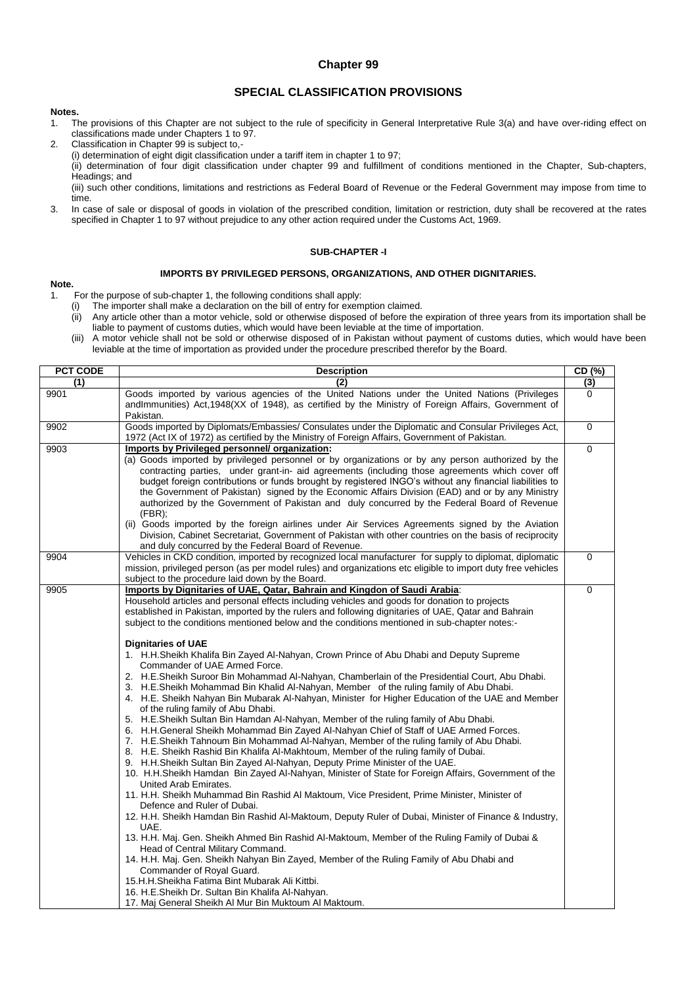# **Chapter 99**

# **SPECIAL CLASSIFICATION PROVISIONS**

#### **Notes.**

- 1. The provisions of this Chapter are not subject to the rule of specificity in General Interpretative Rule 3(a) and have over-riding effect on classifications made under Chapters 1 to 97.
- 2. Classification in Chapter 99 is subject to,- (i) determination of eight digit classification under a tariff item in chapter 1 to 97; (ii) determination of four digit classification under chapter 99 and fulfillment of conditions mentioned in the Chapter, Sub-chapters, Headings; and (iii) such other conditions, limitations and restrictions as Federal Board of Revenue or the Federal Government may impose from time to

time.

3. In case of sale or disposal of goods in violation of the prescribed condition, limitation or restriction, duty shall be recovered at the rates specified in Chapter 1 to 97 without prejudice to any other action required under the Customs Act, 1969.

## **SUB-CHAPTER -I**

#### **IMPORTS BY PRIVILEGED PERSONS, ORGANIZATIONS, AND OTHER DIGNITARIES.**

#### **Note.**

1. For the purpose of sub-chapter 1, the following conditions shall apply:

- (i) The importer shall make a declaration on the bill of entry for exemption claimed.
- (ii) Any article other than a motor vehicle, sold or otherwise disposed of before the expiration of three years from its importation shall be liable to payment of customs duties, which would have been leviable at the time of importation.
- (iii) A motor vehicle shall not be sold or otherwise disposed of in Pakistan without payment of customs duties, which would have been leviable at the time of importation as provided under the procedure prescribed therefor by the Board.

| <b>PCT CODE</b> | <b>Description</b>                                                                                                                                                                                                                                                                                                                                                                                                                                                                                                                                                                                                                                                                                                                                                                                                                                                                                                                                                                                                                                                                                                                                                                                                                                                                                                                                                                                                                                                                                                                                                                                                                                                                                                                                                                                                                                                                                                                                                                                                                                                                                                                                  | CD (%)         |
|-----------------|-----------------------------------------------------------------------------------------------------------------------------------------------------------------------------------------------------------------------------------------------------------------------------------------------------------------------------------------------------------------------------------------------------------------------------------------------------------------------------------------------------------------------------------------------------------------------------------------------------------------------------------------------------------------------------------------------------------------------------------------------------------------------------------------------------------------------------------------------------------------------------------------------------------------------------------------------------------------------------------------------------------------------------------------------------------------------------------------------------------------------------------------------------------------------------------------------------------------------------------------------------------------------------------------------------------------------------------------------------------------------------------------------------------------------------------------------------------------------------------------------------------------------------------------------------------------------------------------------------------------------------------------------------------------------------------------------------------------------------------------------------------------------------------------------------------------------------------------------------------------------------------------------------------------------------------------------------------------------------------------------------------------------------------------------------------------------------------------------------------------------------------------------------|----------------|
| (1)             | (2)                                                                                                                                                                                                                                                                                                                                                                                                                                                                                                                                                                                                                                                                                                                                                                                                                                                                                                                                                                                                                                                                                                                                                                                                                                                                                                                                                                                                                                                                                                                                                                                                                                                                                                                                                                                                                                                                                                                                                                                                                                                                                                                                                 | $\overline{3}$ |
| 9901            | Goods imported by various agencies of the United Nations under the United Nations (Privileges<br>andImmunities) Act,1948(XX of 1948), as certified by the Ministry of Foreign Affairs, Government of<br>Pakistan.                                                                                                                                                                                                                                                                                                                                                                                                                                                                                                                                                                                                                                                                                                                                                                                                                                                                                                                                                                                                                                                                                                                                                                                                                                                                                                                                                                                                                                                                                                                                                                                                                                                                                                                                                                                                                                                                                                                                   | $\Omega$       |
| 9902            | Goods imported by Diplomats/Embassies/ Consulates under the Diplomatic and Consular Privileges Act,<br>1972 (Act IX of 1972) as certified by the Ministry of Foreign Affairs, Government of Pakistan.                                                                                                                                                                                                                                                                                                                                                                                                                                                                                                                                                                                                                                                                                                                                                                                                                                                                                                                                                                                                                                                                                                                                                                                                                                                                                                                                                                                                                                                                                                                                                                                                                                                                                                                                                                                                                                                                                                                                               | 0              |
| 9903            | Imports by Privileged personnel/ organization:<br>(a) Goods imported by privileged personnel or by organizations or by any person authorized by the<br>contracting parties, under grant-in- aid agreements (including those agreements which cover off<br>budget foreign contributions or funds brought by registered INGO's without any financial liabilities to<br>the Government of Pakistan) signed by the Economic Affairs Division (EAD) and or by any Ministry<br>authorized by the Government of Pakistan and duly concurred by the Federal Board of Revenue<br>$(FBR)$ ;<br>(ii) Goods imported by the foreign airlines under Air Services Agreements signed by the Aviation<br>Division, Cabinet Secretariat, Government of Pakistan with other countries on the basis of reciprocity<br>and duly concurred by the Federal Board of Revenue.                                                                                                                                                                                                                                                                                                                                                                                                                                                                                                                                                                                                                                                                                                                                                                                                                                                                                                                                                                                                                                                                                                                                                                                                                                                                                              | 0              |
| 9904            | Vehicles in CKD condition, imported by recognized local manufacturer for supply to diplomat, diplomatic<br>mission, privileged person (as per model rules) and organizations etc eligible to import duty free vehicles<br>subject to the procedure laid down by the Board.                                                                                                                                                                                                                                                                                                                                                                                                                                                                                                                                                                                                                                                                                                                                                                                                                                                                                                                                                                                                                                                                                                                                                                                                                                                                                                                                                                                                                                                                                                                                                                                                                                                                                                                                                                                                                                                                          | $\Omega$       |
| 9905            | Imports by Dignitaries of UAE, Qatar, Bahrain and Kingdon of Saudi Arabia:<br>Household articles and personal effects including vehicles and goods for donation to projects<br>established in Pakistan, imported by the rulers and following dignitaries of UAE, Qatar and Bahrain<br>subject to the conditions mentioned below and the conditions mentioned in sub-chapter notes:-<br><b>Dignitaries of UAE</b><br>1. H.H.Sheikh Khalifa Bin Zayed Al-Nahyan, Crown Prince of Abu Dhabi and Deputy Supreme<br>Commander of UAE Armed Force.<br>2. H.E.Sheikh Suroor Bin Mohammad Al-Nahyan, Chamberlain of the Presidential Court, Abu Dhabi.<br>3. H.E. Sheikh Mohammad Bin Khalid Al-Nahyan, Member of the ruling family of Abu Dhabi.<br>4. H.E. Sheikh Nahyan Bin Mubarak Al-Nahyan, Minister for Higher Education of the UAE and Member<br>of the ruling family of Abu Dhabi.<br>5. H.E.Sheikh Sultan Bin Hamdan Al-Nahyan, Member of the ruling family of Abu Dhabi.<br>6. H.H.General Sheikh Mohammad Bin Zayed Al-Nahyan Chief of Staff of UAE Armed Forces.<br>7. H.E.Sheikh Tahnoum Bin Mohammad Al-Nahyan, Member of the ruling family of Abu Dhabi.<br>8. H.E. Sheikh Rashid Bin Khalifa Al-Makhtoum, Member of the ruling family of Dubai.<br>9. H.H.Sheikh Sultan Bin Zayed Al-Nahyan, Deputy Prime Minister of the UAE.<br>10. H.H.Sheikh Hamdan Bin Zayed Al-Nahyan, Minister of State for Foreign Affairs, Government of the<br>United Arab Emirates.<br>11. H.H. Sheikh Muhammad Bin Rashid Al Maktoum, Vice President, Prime Minister, Minister of<br>Defence and Ruler of Dubai.<br>12. H.H. Sheikh Hamdan Bin Rashid Al-Maktoum, Deputy Ruler of Dubai, Minister of Finance & Industry,<br>UAE.<br>13. H.H. Maj. Gen. Sheikh Ahmed Bin Rashid Al-Maktoum, Member of the Ruling Family of Dubai &<br>Head of Central Military Command.<br>14. H.H. Maj. Gen. Sheikh Nahyan Bin Zayed, Member of the Ruling Family of Abu Dhabi and<br>Commander of Royal Guard.<br>15.H.H.Sheikha Fatima Bint Mubarak Ali Kittbi.<br>16. H.E.Sheikh Dr. Sultan Bin Khalifa Al-Nahyan.<br>17. Maj General Sheikh Al Mur Bin Muktoum Al Maktoum. | 0              |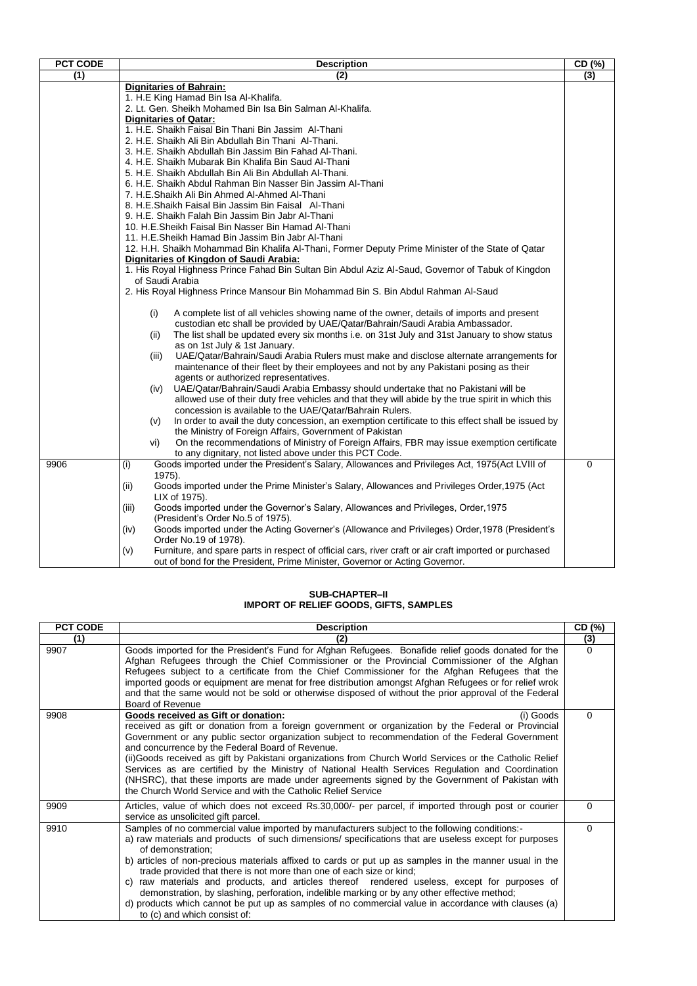| PCT CODE | <b>Description</b>                                                                                                    | CD (%) |
|----------|-----------------------------------------------------------------------------------------------------------------------|--------|
| (1)      | (2)                                                                                                                   | (3)    |
|          | <b>Dignitaries of Bahrain:</b>                                                                                        |        |
|          | 1. H.E King Hamad Bin Isa Al-Khalifa.                                                                                 |        |
|          | 2. Lt. Gen. Sheikh Mohamed Bin Isa Bin Salman Al-Khalifa.                                                             |        |
|          | <b>Dignitaries of Qatar:</b>                                                                                          |        |
|          | 1. H.E. Shaikh Faisal Bin Thani Bin Jassim Al-Thani                                                                   |        |
|          | 2. H.E. Shaikh Ali Bin Abdullah Bin Thani Al-Thani.                                                                   |        |
|          | 3. H.E. Shaikh Abdullah Bin Jassim Bin Fahad Al-Thani.<br>4. H.E. Shaikh Mubarak Bin Khalifa Bin Saud Al-Thani        |        |
|          | 5. H.E. Shaikh Abdullah Bin Ali Bin Abdullah Al-Thani.                                                                |        |
|          | 6. H.E. Shaikh Abdul Rahman Bin Nasser Bin Jassim Al-Thani                                                            |        |
|          | 7. H.E.Shaikh Ali Bin Ahmed Al-Ahmed Al-Thani                                                                         |        |
|          | 8. H.E.Shaikh Faisal Bin Jassim Bin Faisal Al-Thani                                                                   |        |
|          | 9. H.E. Shaikh Falah Bin Jassim Bin Jabr Al-Thani                                                                     |        |
|          | 10. H.E.Sheikh Faisal Bin Nasser Bin Hamad Al-Thani                                                                   |        |
|          | 11. H.E.Sheikh Hamad Bin Jassim Bin Jabr Al-Thani                                                                     |        |
|          | 12. H.H. Shaikh Mohammad Bin Khalifa Al-Thani, Former Deputy Prime Minister of the State of Qatar                     |        |
|          | Dignitaries of Kingdon of Saudi Arabia:                                                                               |        |
|          | 1. His Royal Highness Prince Fahad Bin Sultan Bin Abdul Aziz Al-Saud, Governor of Tabuk of Kingdon                    |        |
|          | of Saudi Arabia                                                                                                       |        |
|          | 2. His Royal Highness Prince Mansour Bin Mohammad Bin S. Bin Abdul Rahman Al-Saud                                     |        |
|          | A complete list of all vehicles showing name of the owner, details of imports and present<br>(i)                      |        |
|          | custodian etc shall be provided by UAE/Qatar/Bahrain/Saudi Arabia Ambassador.                                         |        |
|          | The list shall be updated every six months i.e. on 31st July and 31st January to show status<br>(ii)                  |        |
|          | as on 1st July & 1st January.                                                                                         |        |
|          | UAE/Qatar/Bahrain/Saudi Arabia Rulers must make and disclose alternate arrangements for<br>(iii)                      |        |
|          | maintenance of their fleet by their employees and not by any Pakistani posing as their                                |        |
|          | agents or authorized representatives.                                                                                 |        |
|          | UAE/Qatar/Bahrain/Saudi Arabia Embassy should undertake that no Pakistani will be<br>(iv)                             |        |
|          | allowed use of their duty free vehicles and that they will abide by the true spirit in which this                     |        |
|          | concession is available to the UAE/Qatar/Bahrain Rulers.                                                              |        |
|          | In order to avail the duty concession, an exemption certificate to this effect shall be issued by<br>(v)              |        |
|          | the Ministry of Foreign Affairs, Government of Pakistan                                                               |        |
|          | On the recommendations of Ministry of Foreign Affairs, FBR may issue exemption certificate<br>vi)                     |        |
|          | to any dignitary, not listed above under this PCT Code.                                                               |        |
| 9906     | Goods imported under the President's Salary, Allowances and Privileges Act, 1975(Act LVIII of<br>(i)                  | 0      |
|          | 1975).                                                                                                                |        |
|          | Goods imported under the Prime Minister's Salary, Allowances and Privileges Order, 1975 (Act<br>(ii)<br>LIX of 1975). |        |
|          | Goods imported under the Governor's Salary, Allowances and Privileges, Order, 1975<br>(iii)                           |        |
|          | (President's Order No.5 of 1975).                                                                                     |        |
|          | Goods imported under the Acting Governer's (Allowance and Privileges) Order, 1978 (President's<br>(iv)                |        |
|          | Order No.19 of 1978).                                                                                                 |        |
|          | Furniture, and spare parts in respect of official cars, river craft or air craft imported or purchased<br>(v)         |        |
|          | out of bond for the President, Prime Minister, Governor or Acting Governor.                                           |        |

#### **SUB-CHAPTER–II IMPORT OF RELIEF GOODS, GIFTS, SAMPLES**

| <b>PCT CODE</b> | <b>Description</b>                                                                                                                                                                                                                                                                                                                                                                                                                                                                                                                                                                                                                                                                                                                                   | CD (%)   |
|-----------------|------------------------------------------------------------------------------------------------------------------------------------------------------------------------------------------------------------------------------------------------------------------------------------------------------------------------------------------------------------------------------------------------------------------------------------------------------------------------------------------------------------------------------------------------------------------------------------------------------------------------------------------------------------------------------------------------------------------------------------------------------|----------|
| (1)             | (2)                                                                                                                                                                                                                                                                                                                                                                                                                                                                                                                                                                                                                                                                                                                                                  | (3)      |
| 9907            | Goods imported for the President's Fund for Afghan Refugees. Bonafide relief goods donated for the<br>Afghan Refugees through the Chief Commissioner or the Provincial Commissioner of the Afghan<br>Refugees subject to a certificate from the Chief Commissioner for the Afghan Refugees that the<br>imported goods or equipment are menat for free distribution amongst Afghan Refugees or for relief wrok<br>and that the same would not be sold or otherwise disposed of without the prior approval of the Federal<br>Board of Revenue                                                                                                                                                                                                          | $\Omega$ |
| 9908            | Goods received as Gift or donation:<br>(i) Goods<br>received as gift or donation from a foreign government or organization by the Federal or Provincial<br>Government or any public sector organization subject to recommendation of the Federal Government<br>and concurrence by the Federal Board of Revenue.<br>(ii) Goods received as gift by Pakistani organizations from Church World Services or the Catholic Relief<br>Services as are certified by the Ministry of National Health Services Regulation and Coordination<br>(NHSRC), that these imports are made under agreements signed by the Government of Pakistan with<br>the Church World Service and with the Catholic Relief Service                                                 | $\Omega$ |
| 9909            | Articles, value of which does not exceed Rs.30,000/- per parcel, if imported through post or courier<br>service as unsolicited gift parcel.                                                                                                                                                                                                                                                                                                                                                                                                                                                                                                                                                                                                          | $\Omega$ |
| 9910            | Samples of no commercial value imported by manufacturers subject to the following conditions:-<br>a) raw materials and products of such dimensions/specifications that are useless except for purposes<br>of demonstration;<br>b) articles of non-precious materials affixed to cards or put up as samples in the manner usual in the<br>trade provided that there is not more than one of each size or kind;<br>c) raw materials and products, and articles thereof rendered useless, except for purposes of<br>demonstration, by slashing, perforation, indelible marking or by any other effective method;<br>d) products which cannot be put up as samples of no commercial value in accordance with clauses (a)<br>to (c) and which consist of: | $\Omega$ |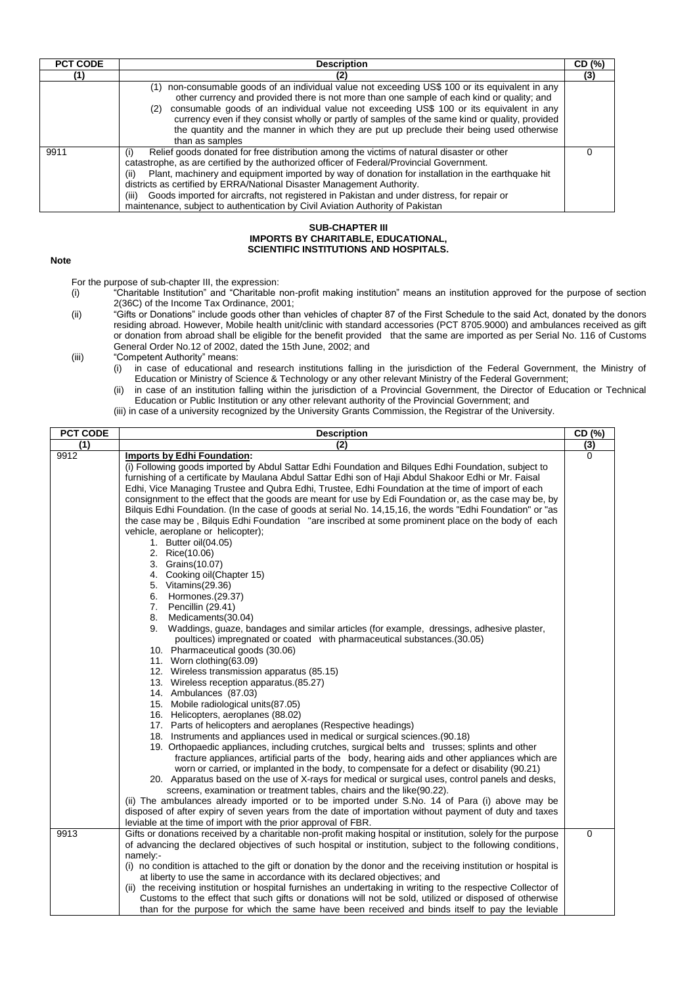| <b>PCT CODE</b> | <b>Description</b>                                                                                                                                                                                                                                                                                                                                                                                                                                                                                                                                                            | CD (%) |
|-----------------|-------------------------------------------------------------------------------------------------------------------------------------------------------------------------------------------------------------------------------------------------------------------------------------------------------------------------------------------------------------------------------------------------------------------------------------------------------------------------------------------------------------------------------------------------------------------------------|--------|
|                 |                                                                                                                                                                                                                                                                                                                                                                                                                                                                                                                                                                               | (3)    |
|                 | non-consumable goods of an individual value not exceeding US\$ 100 or its equivalent in any<br>(1)<br>other currency and provided there is not more than one sample of each kind or quality; and<br>consumable goods of an individual value not exceeding US\$ 100 or its equivalent in any<br>(2)<br>currency even if they consist wholly or partly of samples of the same kind or quality, provided<br>the quantity and the manner in which they are put up preclude their being used otherwise<br>than as samples                                                          |        |
| 9911            | Relief goods donated for free distribution among the victims of natural disaster or other<br>(i)<br>catastrophe, as are certified by the authorized officer of Federal/Provincial Government.<br>Plant, machinery and equipment imported by way of donation for installation in the earthquake hit<br>(ii)<br>districts as certified by ERRA/National Disaster Management Authority.<br>Goods imported for aircrafts, not registered in Pakistan and under distress, for repair or<br>(iii)<br>maintenance, subject to authentication by Civil Aviation Authority of Pakistan |        |

### **SUB-CHAPTER III IMPORTS BY CHARITABLE, EDUCATIONAL, SCIENTIFIC INSTITUTIONS AND HOSPITALS.**

**Note**

- For the purpose of sub-chapter III, the expression:<br>(i) "Charitable Institution" and "Charitable r "Charitable Institution" and "Charitable non-profit making institution" means an institution approved for the purpose of section 2(36C) of the Income Tax Ordinance, 2001;
- (ii) "Gifts or Donations" include goods other than vehicles of chapter 87 of the First Schedule to the said Act, donated by the donors residing abroad. However, Mobile health unit/clinic with standard accessories (PCT 8705.9000) and ambulances received as gift or donation from abroad shall be eligible for the benefit provided that the same are imported as per Serial No. 116 of Customs General Order No.12 of 2002, dated the 15th June, 2002; and

- in case of educational and research institutions falling in the jurisdiction of the Federal Government, the Ministry of Education or Ministry of Science & Technology or any other relevant Ministry of the Federal Government;
- (ii) in case of an institution falling within the jurisdiction of a Provincial Government, the Director of Education or Technical Education or Public Institution or any other relevant authority of the Provincial Government; and
- (iii) in case of a university recognized by the University Grants Commission, the Registrar of the University.

| <b>PCT CODE</b> | <b>Description</b>                                                                                                                                                                                                                                                                                                                                                                                                                                                                                                                                                                                                                                                                                                                                                                                                                                                                                                                                                                                                                                                                                                                                                                                                                                                                                                                                                                                                                                                                                                                                                                                                                                                                                                                                                                                                                                                                                                                                                                                                                                                                                                                                                                                                      | CD (%)      |
|-----------------|-------------------------------------------------------------------------------------------------------------------------------------------------------------------------------------------------------------------------------------------------------------------------------------------------------------------------------------------------------------------------------------------------------------------------------------------------------------------------------------------------------------------------------------------------------------------------------------------------------------------------------------------------------------------------------------------------------------------------------------------------------------------------------------------------------------------------------------------------------------------------------------------------------------------------------------------------------------------------------------------------------------------------------------------------------------------------------------------------------------------------------------------------------------------------------------------------------------------------------------------------------------------------------------------------------------------------------------------------------------------------------------------------------------------------------------------------------------------------------------------------------------------------------------------------------------------------------------------------------------------------------------------------------------------------------------------------------------------------------------------------------------------------------------------------------------------------------------------------------------------------------------------------------------------------------------------------------------------------------------------------------------------------------------------------------------------------------------------------------------------------------------------------------------------------------------------------------------------------|-------------|
| (1)             | (2)                                                                                                                                                                                                                                                                                                                                                                                                                                                                                                                                                                                                                                                                                                                                                                                                                                                                                                                                                                                                                                                                                                                                                                                                                                                                                                                                                                                                                                                                                                                                                                                                                                                                                                                                                                                                                                                                                                                                                                                                                                                                                                                                                                                                                     | (3)         |
| 9912            | Imports by Edhi Foundation:<br>(i) Following goods imported by Abdul Sattar Edhi Foundation and Bilgues Edhi Foundation, subject to<br>furnishing of a certificate by Maulana Abdul Sattar Edhi son of Haji Abdul Shakoor Edhi or Mr. Faisal<br>Edhi, Vice Managing Trustee and Qubra Edhi, Trustee, Edhi Foundation at the time of import of each<br>consignment to the effect that the goods are meant for use by Edi Foundation or, as the case may be, by<br>Bilquis Edhi Foundation. (In the case of goods at serial No. 14, 15, 16, the words "Edhi Foundation" or "as<br>the case may be, Bilquis Edhi Foundation "are inscribed at some prominent place on the body of each<br>vehicle, aeroplane or helicopter);<br>1. Butter oil(04.05)<br>2. Rice(10.06)<br>3. Grains (10.07)<br>4. Cooking oil(Chapter 15)<br>5. Vitamins(29.36)<br>6. Hormones. (29.37)<br>7. Pencillin (29.41)<br>8.<br>Medicaments(30.04)<br>9. Waddings, guaze, bandages and similar articles (for example, dressings, adhesive plaster,<br>poultices) impregnated or coated with pharmaceutical substances. (30.05)<br>10. Pharmaceutical goods (30.06)<br>11. Worn clothing (63.09)<br>12. Wireless transmission apparatus (85.15)<br>13. Wireless reception apparatus. (85.27)<br>14. Ambulances (87.03)<br>15. Mobile radiological units(87.05)<br>16. Helicopters, aeroplanes (88.02)<br>17. Parts of helicopters and aeroplanes (Respective headings)<br>18. Instruments and appliances used in medical or surgical sciences. (90.18)<br>19. Orthopaedic appliances, including crutches, surgical belts and trusses; splints and other<br>fracture appliances, artificial parts of the body, hearing aids and other appliances which are<br>worn or carried, or implanted in the body, to compensate for a defect or disability (90.21)<br>20. Apparatus based on the use of X-rays for medical or surgical uses, control panels and desks,<br>screens, examination or treatment tables, chairs and the like (90.22).<br>(ii) The ambulances already imported or to be imported under S.No. 14 of Para (i) above may be<br>disposed of after expiry of seven years from the date of importation without payment of duty and taxes | 0           |
| 9913            | leviable at the time of import with the prior approval of FBR.<br>Gifts or donations received by a charitable non-profit making hospital or institution, solely for the purpose                                                                                                                                                                                                                                                                                                                                                                                                                                                                                                                                                                                                                                                                                                                                                                                                                                                                                                                                                                                                                                                                                                                                                                                                                                                                                                                                                                                                                                                                                                                                                                                                                                                                                                                                                                                                                                                                                                                                                                                                                                         | $\mathbf 0$ |
|                 | of advancing the declared objectives of such hospital or institution, subject to the following conditions,<br>namely:-<br>(i) no condition is attached to the gift or donation by the donor and the receiving institution or hospital is<br>at liberty to use the same in accordance with its declared objectives; and<br>(ii) the receiving institution or hospital furnishes an undertaking in writing to the respective Collector of<br>Customs to the effect that such gifts or donations will not be sold, utilized or disposed of otherwise<br>than for the purpose for which the same have been received and binds itself to pay the leviable                                                                                                                                                                                                                                                                                                                                                                                                                                                                                                                                                                                                                                                                                                                                                                                                                                                                                                                                                                                                                                                                                                                                                                                                                                                                                                                                                                                                                                                                                                                                                                    |             |

<sup>(</sup>iii) "Competent Authority" means:<br>(i) in case of educational a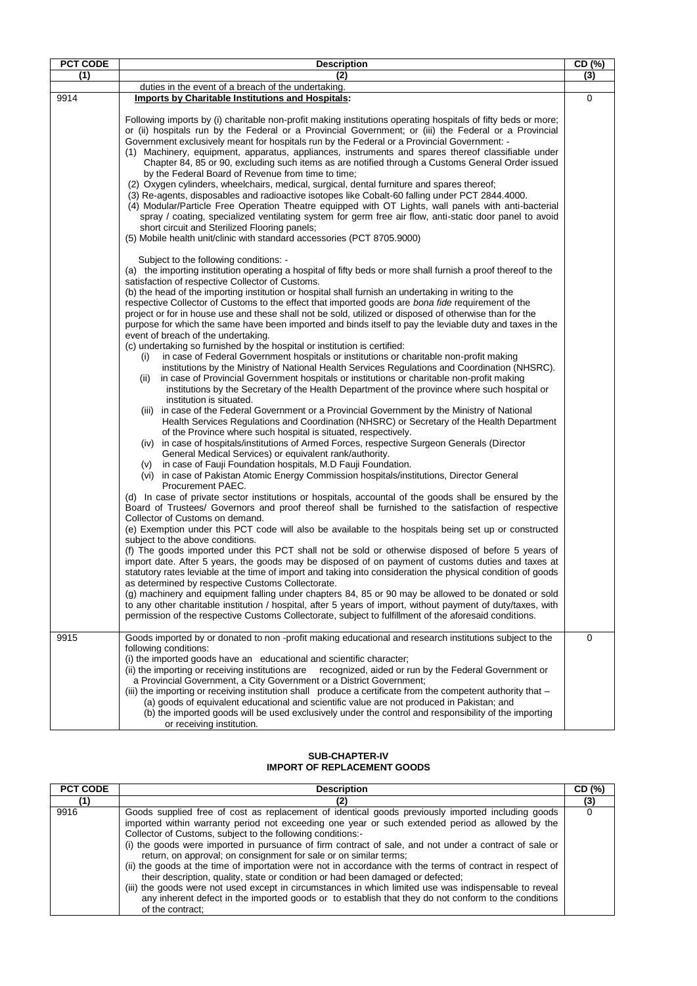| <b>PCT CODE</b> | <b>Description</b>                                                                                                                                                                                                                                                                                                                                                                                                                                                                                                                                                                                                                                                                                                                                                                                                                                                                                                                                                                                                                                                                                                                                                                                                                                                                                                                                                                                                                                                                                                                                                                                                                                                                                                                                                                                                                                                                                                                                                                                                                                                                                                                                                                                                                                                                                                                                                                                                                                                                                                                                                                                                                                                                                                                                                                                                                                                                                                                                                                                                   | CD (%) |
|-----------------|----------------------------------------------------------------------------------------------------------------------------------------------------------------------------------------------------------------------------------------------------------------------------------------------------------------------------------------------------------------------------------------------------------------------------------------------------------------------------------------------------------------------------------------------------------------------------------------------------------------------------------------------------------------------------------------------------------------------------------------------------------------------------------------------------------------------------------------------------------------------------------------------------------------------------------------------------------------------------------------------------------------------------------------------------------------------------------------------------------------------------------------------------------------------------------------------------------------------------------------------------------------------------------------------------------------------------------------------------------------------------------------------------------------------------------------------------------------------------------------------------------------------------------------------------------------------------------------------------------------------------------------------------------------------------------------------------------------------------------------------------------------------------------------------------------------------------------------------------------------------------------------------------------------------------------------------------------------------------------------------------------------------------------------------------------------------------------------------------------------------------------------------------------------------------------------------------------------------------------------------------------------------------------------------------------------------------------------------------------------------------------------------------------------------------------------------------------------------------------------------------------------------------------------------------------------------------------------------------------------------------------------------------------------------------------------------------------------------------------------------------------------------------------------------------------------------------------------------------------------------------------------------------------------------------------------------------------------------------------------------------------------------|--------|
| (1)             | (2)                                                                                                                                                                                                                                                                                                                                                                                                                                                                                                                                                                                                                                                                                                                                                                                                                                                                                                                                                                                                                                                                                                                                                                                                                                                                                                                                                                                                                                                                                                                                                                                                                                                                                                                                                                                                                                                                                                                                                                                                                                                                                                                                                                                                                                                                                                                                                                                                                                                                                                                                                                                                                                                                                                                                                                                                                                                                                                                                                                                                                  | (3)    |
|                 | duties in the event of a breach of the undertaking.                                                                                                                                                                                                                                                                                                                                                                                                                                                                                                                                                                                                                                                                                                                                                                                                                                                                                                                                                                                                                                                                                                                                                                                                                                                                                                                                                                                                                                                                                                                                                                                                                                                                                                                                                                                                                                                                                                                                                                                                                                                                                                                                                                                                                                                                                                                                                                                                                                                                                                                                                                                                                                                                                                                                                                                                                                                                                                                                                                  |        |
|                 |                                                                                                                                                                                                                                                                                                                                                                                                                                                                                                                                                                                                                                                                                                                                                                                                                                                                                                                                                                                                                                                                                                                                                                                                                                                                                                                                                                                                                                                                                                                                                                                                                                                                                                                                                                                                                                                                                                                                                                                                                                                                                                                                                                                                                                                                                                                                                                                                                                                                                                                                                                                                                                                                                                                                                                                                                                                                                                                                                                                                                      |        |
| 9914            | <b>Imports by Charitable Institutions and Hospitals:</b><br>Following imports by (i) charitable non-profit making institutions operating hospitals of fifty beds or more;<br>or (ii) hospitals run by the Federal or a Provincial Government; or (iii) the Federal or a Provincial<br>Government exclusively meant for hospitals run by the Federal or a Provincial Government: -<br>(1) Machinery, equipment, apparatus, appliances, instruments and spares thereof classifiable under<br>Chapter 84, 85 or 90, excluding such items as are notified through a Customs General Order issued<br>by the Federal Board of Revenue from time to time;<br>(2) Oxygen cylinders, wheelchairs, medical, surgical, dental furniture and spares thereof;<br>(3) Re-agents, disposables and radioactive isotopes like Cobalt-60 falling under PCT 2844.4000.<br>(4) Modular/Particle Free Operation Theatre equipped with OT Lights, wall panels with anti-bacterial<br>spray / coating, specialized ventilating system for germ free air flow, anti-static door panel to avoid<br>short circuit and Sterilized Flooring panels;<br>(5) Mobile health unit/clinic with standard accessories (PCT 8705.9000)<br>Subject to the following conditions: -<br>(a) the importing institution operating a hospital of fifty beds or more shall furnish a proof thereof to the<br>satisfaction of respective Collector of Customs.<br>(b) the head of the importing institution or hospital shall furnish an undertaking in writing to the<br>respective Collector of Customs to the effect that imported goods are bona fide requirement of the<br>project or for in house use and these shall not be sold, utilized or disposed of otherwise than for the<br>purpose for which the same have been imported and binds itself to pay the leviable duty and taxes in the<br>event of breach of the undertaking.<br>(c) undertaking so furnished by the hospital or institution is certified:<br>in case of Federal Government hospitals or institutions or charitable non-profit making<br>(i)<br>institutions by the Ministry of National Health Services Regulations and Coordination (NHSRC).<br>in case of Provincial Government hospitals or institutions or charitable non-profit making<br>(ii)<br>institutions by the Secretary of the Health Department of the province where such hospital or<br>institution is situated.<br>(iii) in case of the Federal Government or a Provincial Government by the Ministry of National<br>Health Services Regulations and Coordination (NHSRC) or Secretary of the Health Department<br>of the Province where such hospital is situated, respectively.<br>(iv) in case of hospitals/institutions of Armed Forces, respective Surgeon Generals (Director<br>General Medical Services) or equivalent rank/authority.<br>in case of Fauji Foundation hospitals, M.D Fauji Foundation.<br>(V)<br>(vi) in case of Pakistan Atomic Energy Commission hospitals/institutions, Director General | 0      |
|                 | Procurement PAEC.<br>(d) In case of private sector institutions or hospitals, accountal of the goods shall be ensured by the<br>Board of Trustees/ Governors and proof thereof shall be furnished to the satisfaction of respective<br>Collector of Customs on demand.<br>(e) Exemption under this PCT code will also be available to the hospitals being set up or constructed<br>subject to the above conditions.<br>(f) The goods imported under this PCT shall not be sold or otherwise disposed of before 5 years of<br>import date. After 5 years, the goods may be disposed of on payment of customs duties and taxes at<br>statutory rates leviable at the time of import and taking into consideration the physical condition of goods<br>as determined by respective Customs Collectorate.<br>(g) machinery and equipment falling under chapters 84, 85 or 90 may be allowed to be donated or sold<br>to any other charitable institution / hospital, after 5 years of import, without payment of duty/taxes, with<br>permission of the respective Customs Collectorate, subject to fulfillment of the aforesaid conditions.                                                                                                                                                                                                                                                                                                                                                                                                                                                                                                                                                                                                                                                                                                                                                                                                                                                                                                                                                                                                                                                                                                                                                                                                                                                                                                                                                                                                                                                                                                                                                                                                                                                                                                                                                                                                                                                                               |        |
| 9915            | Goods imported by or donated to non-profit making educational and research institutions subject to the<br>following conditions:<br>(i) the imported goods have an educational and scientific character;<br>recognized, aided or run by the Federal Government or<br>(ii) the importing or receiving institutions are<br>a Provincial Government, a City Government or a District Government;<br>(iii) the importing or receiving institution shall produce a certificate from the competent authority that -<br>(a) goods of equivalent educational and scientific value are not produced in Pakistan; and<br>(b) the imported goods will be used exclusively under the control and responsibility of the importing<br>or receiving institution.                                                                                                                                                                                                                                                                                                                                                                                                                                                                                                                                                                                                                                                                                                                                                                                                                                                                                                                                                                                                                                                                                                                                                                                                                                                                                                                                                                                                                                                                                                                                                                                                                                                                                                                                                                                                                                                                                                                                                                                                                                                                                                                                                                                                                                                                     | 0      |

### **SUB-CHAPTER-IV IMPORT OF REPLACEMENT GOODS**

| <b>PCT CODE</b> | <b>Description</b>                                                                                                                                                                                                                                                                                                                                                                                                                                                                                                                                                                                                                                                                                                                                                                                                                                                    | CD (%) |
|-----------------|-----------------------------------------------------------------------------------------------------------------------------------------------------------------------------------------------------------------------------------------------------------------------------------------------------------------------------------------------------------------------------------------------------------------------------------------------------------------------------------------------------------------------------------------------------------------------------------------------------------------------------------------------------------------------------------------------------------------------------------------------------------------------------------------------------------------------------------------------------------------------|--------|
| (1)             |                                                                                                                                                                                                                                                                                                                                                                                                                                                                                                                                                                                                                                                                                                                                                                                                                                                                       | (3)    |
| 9916            | Goods supplied free of cost as replacement of identical goods previously imported including goods<br>imported within warranty period not exceeding one year or such extended period as allowed by the<br>Collector of Customs, subject to the following conditions:-<br>(i) the goods were imported in pursuance of firm contract of sale, and not under a contract of sale or<br>return, on approval; on consignment for sale or on similar terms;<br>(ii) the goods at the time of importation were not in accordance with the terms of contract in respect of<br>their description, quality, state or condition or had been damaged or defected;<br>(iii) the goods were not used except in circumstances in which limited use was indispensable to reveal<br>any inherent defect in the imported goods or to establish that they do not conform to the conditions |        |
|                 | of the contract:                                                                                                                                                                                                                                                                                                                                                                                                                                                                                                                                                                                                                                                                                                                                                                                                                                                      |        |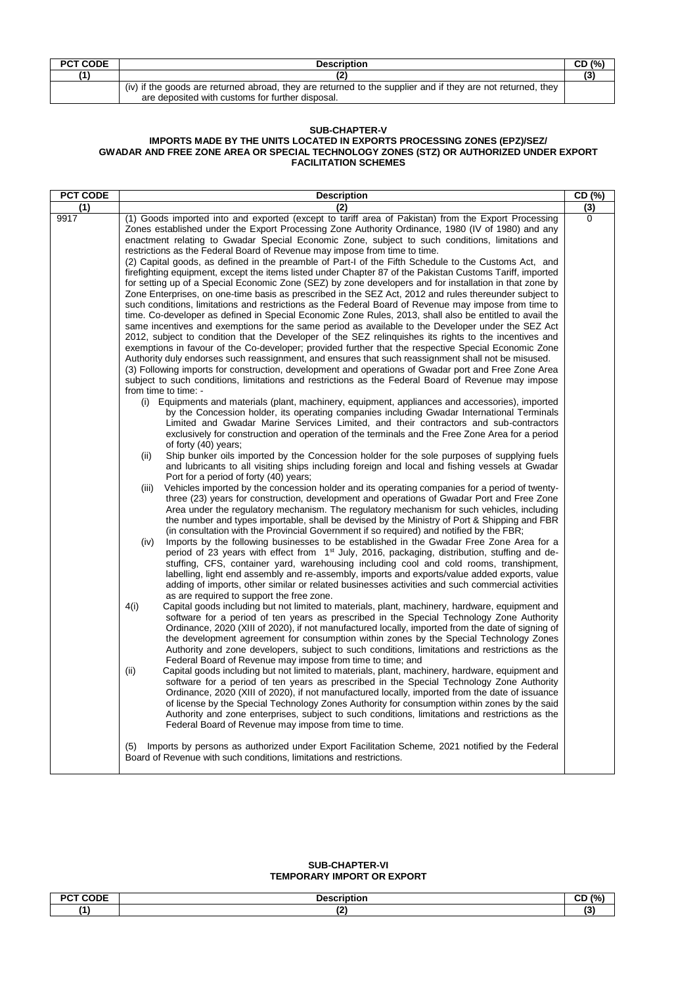| <b>PCT CODE</b> | <b>Description</b>                                                                                          | CD (%) |
|-----------------|-------------------------------------------------------------------------------------------------------------|--------|
| (1)             |                                                                                                             |        |
|                 | (iv) if the goods are returned abroad, they are returned to the supplier and if they are not returned, they |        |
|                 | are deposited with customs for further disposal.                                                            |        |

# **SUB-CHAPTER-V**

#### **IMPORTS MADE BY THE UNITS LOCATED IN EXPORTS PROCESSING ZONES (EPZ)/SEZ/ GWADAR AND FREE ZONE AREA OR SPECIAL TECHNOLOGY ZONES (STZ) OR AUTHORIZED UNDER EXPORT FACILITATION SCHEMES**

#### **SUB-CHAPTER-VI TEMPORARY IMPORT OR EXPORT**

| DCT CODE<br>. | <b>Nocorintion</b> | $\sim$<br>101<br>70 L<br>◡└ |
|---------------|--------------------|-----------------------------|
| $\mathbf{A}$  | $\sim$<br>. .      | $\epsilon$                  |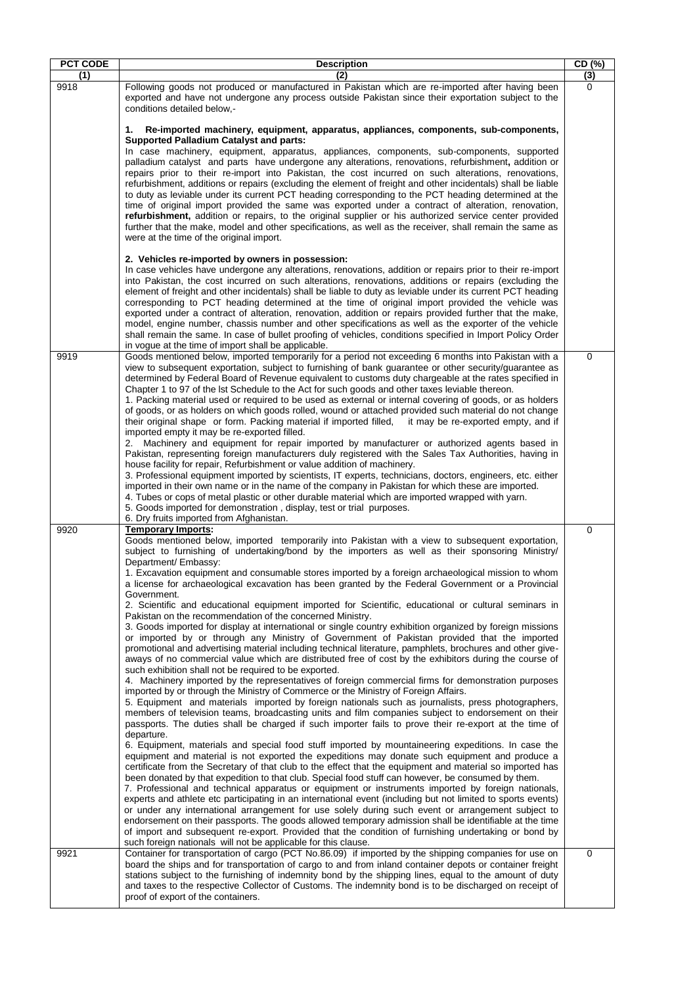| <b>PCT CODE</b> | <b>Description</b>                                                                                                                                                                                                                                                                                                                                                                                                                                                                                                                                                                                                                                                                                                                                                                                                                                                                                                                                                                                                                      | CD (%) |
|-----------------|-----------------------------------------------------------------------------------------------------------------------------------------------------------------------------------------------------------------------------------------------------------------------------------------------------------------------------------------------------------------------------------------------------------------------------------------------------------------------------------------------------------------------------------------------------------------------------------------------------------------------------------------------------------------------------------------------------------------------------------------------------------------------------------------------------------------------------------------------------------------------------------------------------------------------------------------------------------------------------------------------------------------------------------------|--------|
| (1)             |                                                                                                                                                                                                                                                                                                                                                                                                                                                                                                                                                                                                                                                                                                                                                                                                                                                                                                                                                                                                                                         | (3)    |
| 9918            | Following goods not produced or manufactured in Pakistan which are re-imported after having been<br>exported and have not undergone any process outside Pakistan since their exportation subject to the<br>conditions detailed below,-                                                                                                                                                                                                                                                                                                                                                                                                                                                                                                                                                                                                                                                                                                                                                                                                  | 0      |
|                 | Re-imported machinery, equipment, apparatus, appliances, components, sub-components,<br>1.<br><b>Supported Palladium Catalyst and parts:</b>                                                                                                                                                                                                                                                                                                                                                                                                                                                                                                                                                                                                                                                                                                                                                                                                                                                                                            |        |
|                 | In case machinery, equipment, apparatus, appliances, components, sub-components, supported<br>palladium catalyst and parts have undergone any alterations, renovations, refurbishment, addition or<br>repairs prior to their re-import into Pakistan, the cost incurred on such alterations, renovations,<br>refurbishment, additions or repairs (excluding the element of freight and other incidentals) shall be liable<br>to duty as leviable under its current PCT heading corresponding to the PCT heading determined at the<br>time of original import provided the same was exported under a contract of alteration, renovation,<br>refurbishment, addition or repairs, to the original supplier or his authorized service center provided<br>further that the make, model and other specifications, as well as the receiver, shall remain the same as<br>were at the time of the original import.                                                                                                                               |        |
|                 | 2. Vehicles re-imported by owners in possession:<br>In case vehicles have undergone any alterations, renovations, addition or repairs prior to their re-import<br>into Pakistan, the cost incurred on such alterations, renovations, additions or repairs (excluding the<br>element of freight and other incidentals) shall be liable to duty as leviable under its current PCT heading<br>corresponding to PCT heading determined at the time of original import provided the vehicle was<br>exported under a contract of alteration, renovation, addition or repairs provided further that the make,<br>model, engine number, chassis number and other specifications as well as the exporter of the vehicle<br>shall remain the same. In case of bullet proofing of vehicles, conditions specified in Import Policy Order<br>in vogue at the time of import shall be applicable.                                                                                                                                                     |        |
| 9919            | Goods mentioned below, imported temporarily for a period not exceeding 6 months into Pakistan with a<br>view to subsequent exportation, subject to furnishing of bank guarantee or other security/guarantee as<br>determined by Federal Board of Revenue equivalent to customs duty chargeable at the rates specified in<br>Chapter 1 to 97 of the lst Schedule to the Act for such goods and other taxes leviable thereon.<br>1. Packing material used or required to be used as external or internal covering of goods, or as holders<br>of goods, or as holders on which goods rolled, wound or attached provided such material do not change<br>their original shape or form. Packing material if imported filled, it may be re-exported empty, and if                                                                                                                                                                                                                                                                              | 0      |
|                 | imported empty it may be re-exported filled.<br>2. Machinery and equipment for repair imported by manufacturer or authorized agents based in<br>Pakistan, representing foreign manufacturers duly registered with the Sales Tax Authorities, having in<br>house facility for repair, Refurbishment or value addition of machinery.                                                                                                                                                                                                                                                                                                                                                                                                                                                                                                                                                                                                                                                                                                      |        |
|                 | 3. Professional equipment imported by scientists, IT experts, technicians, doctors, engineers, etc. either<br>imported in their own name or in the name of the company in Pakistan for which these are imported.<br>4. Tubes or cops of metal plastic or other durable material which are imported wrapped with yarn.<br>5. Goods imported for demonstration, display, test or trial purposes.<br>6. Dry fruits imported from Afghanistan.                                                                                                                                                                                                                                                                                                                                                                                                                                                                                                                                                                                              |        |
| 9920            | <b>Temporary Imports:</b>                                                                                                                                                                                                                                                                                                                                                                                                                                                                                                                                                                                                                                                                                                                                                                                                                                                                                                                                                                                                               | 0      |
|                 | Goods mentioned below, imported temporarily into Pakistan with a view to subsequent exportation,<br>subject to furnishing of undertaking/bond by the importers as well as their sponsoring Ministry/<br>Department/ Embassy:<br>1. Excavation equipment and consumable stores imported by a foreign archaeological mission to whom<br>a license for archaeological excavation has been granted by the Federal Government or a Provincial                                                                                                                                                                                                                                                                                                                                                                                                                                                                                                                                                                                                |        |
|                 | Government.<br>2. Scientific and educational equipment imported for Scientific, educational or cultural seminars in<br>Pakistan on the recommendation of the concerned Ministry.                                                                                                                                                                                                                                                                                                                                                                                                                                                                                                                                                                                                                                                                                                                                                                                                                                                        |        |
|                 | 3. Goods imported for display at international or single country exhibition organized by foreign missions<br>or imported by or through any Ministry of Government of Pakistan provided that the imported<br>promotional and advertising material including technical literature, pamphlets, brochures and other give-<br>aways of no commercial value which are distributed free of cost by the exhibitors during the course of<br>such exhibition shall not be required to be exported.                                                                                                                                                                                                                                                                                                                                                                                                                                                                                                                                                |        |
|                 | 4. Machinery imported by the representatives of foreign commercial firms for demonstration purposes<br>imported by or through the Ministry of Commerce or the Ministry of Foreign Affairs.<br>5. Equipment and materials imported by foreign nationals such as journalists, press photographers,<br>members of television teams, broadcasting units and film companies subject to endorsement on their<br>passports. The duties shall be charged if such importer fails to prove their re-export at the time of<br>departure.                                                                                                                                                                                                                                                                                                                                                                                                                                                                                                           |        |
|                 | 6. Equipment, materials and special food stuff imported by mountaineering expeditions. In case the<br>equipment and material is not exported the expeditions may donate such equipment and produce a<br>certificate from the Secretary of that club to the effect that the equipment and material so imported has<br>been donated by that expedition to that club. Special food stuff can however, be consumed by them.<br>7. Professional and technical apparatus or equipment or instruments imported by foreign nationals,<br>experts and athlete etc participating in an international event (including but not limited to sports events)<br>or under any international arrangement for use solely during such event or arrangement subject to<br>endorsement on their passports. The goods allowed temporary admission shall be identifiable at the time<br>of import and subsequent re-export. Provided that the condition of furnishing undertaking or bond by<br>such foreign nationals will not be applicable for this clause. |        |
| 9921            | Container for transportation of cargo (PCT No.86.09) if imported by the shipping companies for use on<br>board the ships and for transportation of cargo to and from inland container depots or container freight<br>stations subject to the furnishing of indemnity bond by the shipping lines, equal to the amount of duty<br>and taxes to the respective Collector of Customs. The indemnity bond is to be discharged on receipt of<br>proof of export of the containers.                                                                                                                                                                                                                                                                                                                                                                                                                                                                                                                                                            | 0      |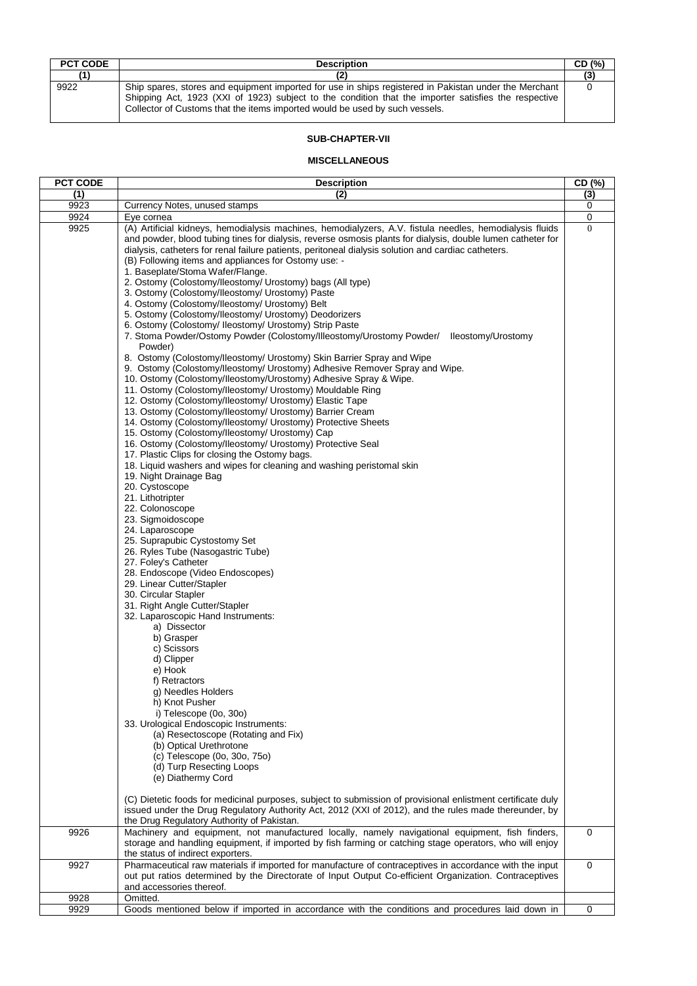| <b>PCT CODE</b> | <b>Description</b>                                                                                                                                                                                                                                                                           | CD (%) |
|-----------------|----------------------------------------------------------------------------------------------------------------------------------------------------------------------------------------------------------------------------------------------------------------------------------------------|--------|
| 71)             |                                                                                                                                                                                                                                                                                              | (3)    |
| 9922            | Ship spares, stores and equipment imported for use in ships registered in Pakistan under the Merchant<br>Shipping Act, 1923 (XXI of 1923) subject to the condition that the importer satisfies the respective<br>Collector of Customs that the items imported would be used by such vessels. |        |

# **SUB-CHAPTER-VII**

# **MISCELLANEOUS**

| <b>PCT CODE</b> | <b>Description</b>                                                                                                                                                                                                                                                                                                                                                                                                                                                                                                                                                                                                                                                                                                                                                                                                                                                                                                                                                                                                                                                                                                                                                                                                                                                                                                                                                                                                                                                                                                                                                                                                                                                                                                                                                                                                                                                                                                                                                                                                                                                                                                                                                                                                                                                        | CD (%)      |
|-----------------|---------------------------------------------------------------------------------------------------------------------------------------------------------------------------------------------------------------------------------------------------------------------------------------------------------------------------------------------------------------------------------------------------------------------------------------------------------------------------------------------------------------------------------------------------------------------------------------------------------------------------------------------------------------------------------------------------------------------------------------------------------------------------------------------------------------------------------------------------------------------------------------------------------------------------------------------------------------------------------------------------------------------------------------------------------------------------------------------------------------------------------------------------------------------------------------------------------------------------------------------------------------------------------------------------------------------------------------------------------------------------------------------------------------------------------------------------------------------------------------------------------------------------------------------------------------------------------------------------------------------------------------------------------------------------------------------------------------------------------------------------------------------------------------------------------------------------------------------------------------------------------------------------------------------------------------------------------------------------------------------------------------------------------------------------------------------------------------------------------------------------------------------------------------------------------------------------------------------------------------------------------------------------|-------------|
| (1)             | (2)                                                                                                                                                                                                                                                                                                                                                                                                                                                                                                                                                                                                                                                                                                                                                                                                                                                                                                                                                                                                                                                                                                                                                                                                                                                                                                                                                                                                                                                                                                                                                                                                                                                                                                                                                                                                                                                                                                                                                                                                                                                                                                                                                                                                                                                                       | (3)         |
| 9923            | Currency Notes, unused stamps                                                                                                                                                                                                                                                                                                                                                                                                                                                                                                                                                                                                                                                                                                                                                                                                                                                                                                                                                                                                                                                                                                                                                                                                                                                                                                                                                                                                                                                                                                                                                                                                                                                                                                                                                                                                                                                                                                                                                                                                                                                                                                                                                                                                                                             | 0           |
| 9924            | Eye cornea                                                                                                                                                                                                                                                                                                                                                                                                                                                                                                                                                                                                                                                                                                                                                                                                                                                                                                                                                                                                                                                                                                                                                                                                                                                                                                                                                                                                                                                                                                                                                                                                                                                                                                                                                                                                                                                                                                                                                                                                                                                                                                                                                                                                                                                                | 0           |
| 9925            | (A) Artificial kidneys, hemodialysis machines, hemodialyzers, A.V. fistula needles, hemodialysis fluids<br>and powder, blood tubing tines for dialysis, reverse osmosis plants for dialysis, double lumen catheter for<br>dialysis, catheters for renal failure patients, peritoneal dialysis solution and cardiac catheters.<br>(B) Following items and appliances for Ostomy use: -<br>1. Baseplate/Stoma Wafer/Flange.<br>2. Ostomy (Colostomy/Ileostomy/ Urostomy) bags (All type)<br>3. Ostomy (Colostomy/Ileostomy/ Urostomy) Paste<br>4. Ostomy (Colostomy/Ileostomy/ Urostomy) Belt<br>5. Ostomy (Colostomy/lleostomy/ Urostomy) Deodorizers<br>6. Ostomy (Colostomy/ Ileostomy/ Urostomy) Strip Paste<br>7. Stoma Powder/Ostomy Powder (Colostomy/Illeostomy/Urostomy Powder/ Ileostomy/Urostomy<br>Powder)<br>8. Ostomy (Colostomy/Ileostomy/ Urostomy) Skin Barrier Spray and Wipe<br>9. Ostomy (Colostomy/Ileostomy/ Urostomy) Adhesive Remover Spray and Wipe.<br>10. Ostomy (Colostomy/lleostomy/Urostomy) Adhesive Spray & Wipe.<br>11. Ostomy (Colostomy/Ileostomy/ Urostomy) Mouldable Ring<br>12. Ostomy (Colostomy/Ileostomy/ Urostomy) Elastic Tape<br>13. Ostomy (Colostomy/Ileostomy/ Urostomy) Barrier Cream<br>14. Ostomy (Colostomy/Ileostomy/ Urostomy) Protective Sheets<br>15. Ostomy (Colostomy/Ileostomy/ Urostomy) Cap<br>16. Ostomy (Colostomy/Ileostomy/ Urostomy) Protective Seal<br>17. Plastic Clips for closing the Ostomy bags.<br>18. Liquid washers and wipes for cleaning and washing peristomal skin<br>19. Night Drainage Bag<br>20. Cystoscope<br>21. Lithotripter<br>22. Colonoscope<br>23. Sigmoidoscope<br>24. Laparoscope<br>25. Suprapubic Cystostomy Set<br>26. Ryles Tube (Nasogastric Tube)<br>27. Foley's Catheter<br>28. Endoscope (Video Endoscopes)<br>29. Linear Cutter/Stapler<br>30. Circular Stapler<br>31. Right Angle Cutter/Stapler<br>32. Laparoscopic Hand Instruments:<br>a) Dissector<br>b) Grasper<br>c) Scissors<br>d) Clipper<br>e) Hook<br>f) Retractors<br>g) Needles Holders<br>h) Knot Pusher<br>i) Telescope (0o, 30o)<br>33. Urological Endoscopic Instruments:<br>(a) Resectoscope (Rotating and Fix)<br>(b) Optical Urethrotone<br>(c) Telescope (0o, 30o, 75o)<br>(d) Turp Resecting Loops | $\Omega$    |
|                 | (e) Diathermy Cord<br>(C) Dietetic foods for medicinal purposes, subject to submission of provisional enlistment certificate duly<br>issued under the Drug Regulatory Authority Act, 2012 (XXI of 2012), and the rules made thereunder, by                                                                                                                                                                                                                                                                                                                                                                                                                                                                                                                                                                                                                                                                                                                                                                                                                                                                                                                                                                                                                                                                                                                                                                                                                                                                                                                                                                                                                                                                                                                                                                                                                                                                                                                                                                                                                                                                                                                                                                                                                                |             |
| 9926            | the Drug Regulatory Authority of Pakistan.<br>Machinery and equipment, not manufactured locally, namely navigational equipment, fish finders,                                                                                                                                                                                                                                                                                                                                                                                                                                                                                                                                                                                                                                                                                                                                                                                                                                                                                                                                                                                                                                                                                                                                                                                                                                                                                                                                                                                                                                                                                                                                                                                                                                                                                                                                                                                                                                                                                                                                                                                                                                                                                                                             | 0           |
|                 | storage and handling equipment, if imported by fish farming or catching stage operators, who will enjoy<br>the status of indirect exporters.                                                                                                                                                                                                                                                                                                                                                                                                                                                                                                                                                                                                                                                                                                                                                                                                                                                                                                                                                                                                                                                                                                                                                                                                                                                                                                                                                                                                                                                                                                                                                                                                                                                                                                                                                                                                                                                                                                                                                                                                                                                                                                                              |             |
| 9927<br>9928    | Pharmaceutical raw materials if imported for manufacture of contraceptives in accordance with the input<br>out put ratios determined by the Directorate of Input Output Co-efficient Organization. Contraceptives<br>and accessories thereof.<br>Omitted.                                                                                                                                                                                                                                                                                                                                                                                                                                                                                                                                                                                                                                                                                                                                                                                                                                                                                                                                                                                                                                                                                                                                                                                                                                                                                                                                                                                                                                                                                                                                                                                                                                                                                                                                                                                                                                                                                                                                                                                                                 | $\mathbf 0$ |
|                 |                                                                                                                                                                                                                                                                                                                                                                                                                                                                                                                                                                                                                                                                                                                                                                                                                                                                                                                                                                                                                                                                                                                                                                                                                                                                                                                                                                                                                                                                                                                                                                                                                                                                                                                                                                                                                                                                                                                                                                                                                                                                                                                                                                                                                                                                           |             |
| 9929            | Goods mentioned below if imported in accordance with the conditions and procedures laid down in                                                                                                                                                                                                                                                                                                                                                                                                                                                                                                                                                                                                                                                                                                                                                                                                                                                                                                                                                                                                                                                                                                                                                                                                                                                                                                                                                                                                                                                                                                                                                                                                                                                                                                                                                                                                                                                                                                                                                                                                                                                                                                                                                                           | 0           |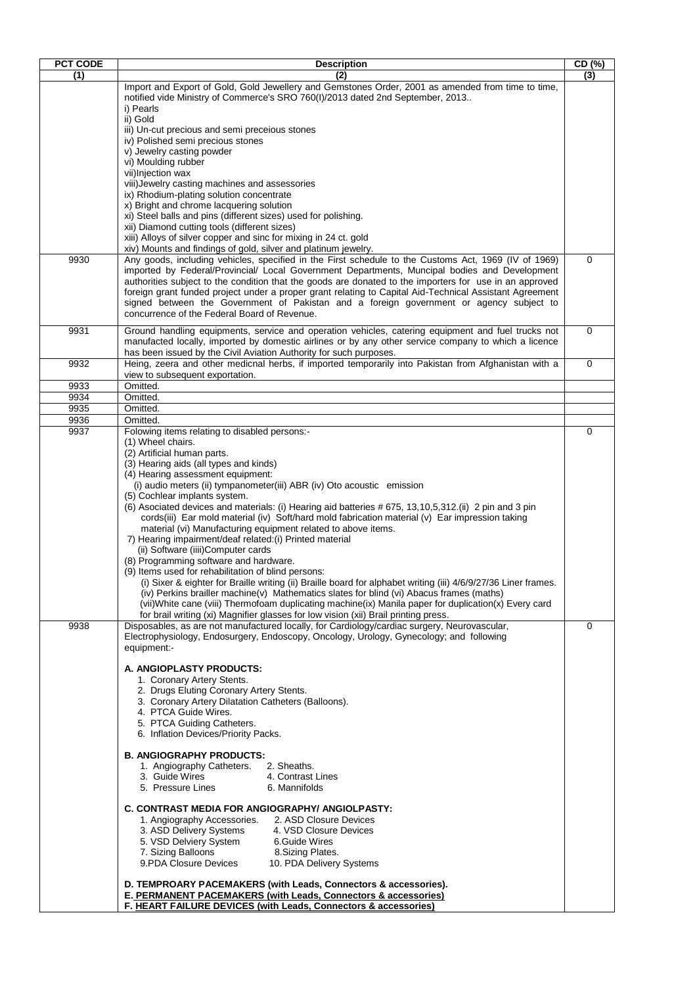| <b>PCT CODE</b> | <b>Description</b>                                                                                                                                                                  | $\overline{CD($ %) |
|-----------------|-------------------------------------------------------------------------------------------------------------------------------------------------------------------------------------|--------------------|
| (1)             | (2)                                                                                                                                                                                 | (3)                |
|                 | Import and Export of Gold, Gold Jewellery and Gemstones Order, 2001 as amended from time to time,                                                                                   |                    |
|                 | notified vide Ministry of Commerce's SRO 760(I)/2013 dated 2nd September, 2013                                                                                                      |                    |
|                 | i) Pearls<br>ii) Gold                                                                                                                                                               |                    |
|                 | iii) Un-cut precious and semi preceious stones                                                                                                                                      |                    |
|                 | iv) Polished semi precious stones                                                                                                                                                   |                    |
|                 | v) Jewelry casting powder                                                                                                                                                           |                    |
|                 | vi) Moulding rubber                                                                                                                                                                 |                    |
|                 | vii)Injection wax<br>viii) Jewelry casting machines and assessories                                                                                                                 |                    |
|                 | ix) Rhodium-plating solution concentrate                                                                                                                                            |                    |
|                 | x) Bright and chrome lacquering solution                                                                                                                                            |                    |
|                 | xi) Steel balls and pins (different sizes) used for polishing.                                                                                                                      |                    |
|                 | xii) Diamond cutting tools (different sizes)<br>xiii) Alloys of silver copper and sinc for mixing in 24 ct. gold                                                                    |                    |
|                 | xiv) Mounts and findings of gold, silver and platinum jewelry.                                                                                                                      |                    |
| 9930            | Any goods, including vehicles, specified in the First schedule to the Customs Act, 1969 (IV of 1969)                                                                                | $\mathbf 0$        |
|                 | imported by Federal/Provincial/ Local Government Departments, Muncipal bodies and Development                                                                                       |                    |
|                 | authorities subject to the condition that the goods are donated to the importers for use in an approved                                                                             |                    |
|                 | foreign grant funded project under a proper grant relating to Capital Aid-Technical Assistant Agreement                                                                             |                    |
|                 | signed between the Government of Pakistan and a foreign government or agency subject to<br>concurrence of the Federal Board of Revenue.                                             |                    |
|                 |                                                                                                                                                                                     |                    |
| 9931            | Ground handling equipments, service and operation vehicles, catering equipment and fuel trucks not                                                                                  | 0                  |
|                 | manufacted locally, imported by domestic airlines or by any other service company to which a licence<br>has been issued by the Civil Aviation Authority for such purposes.          |                    |
| 9932            | Heing, zeera and other medicnal herbs, if imported temporarily into Pakistan from Afghanistan with a                                                                                | 0                  |
|                 | view to subsequent exportation.                                                                                                                                                     |                    |
| 9933            | Omitted.                                                                                                                                                                            |                    |
| 9934            | Omitted.                                                                                                                                                                            |                    |
| 9935            | Omitted.                                                                                                                                                                            |                    |
| 9936<br>9937    | Omitted.<br>Folowing items relating to disabled persons:-                                                                                                                           | 0                  |
|                 | (1) Wheel chairs.                                                                                                                                                                   |                    |
|                 | (2) Artificial human parts.                                                                                                                                                         |                    |
|                 | (3) Hearing aids (all types and kinds)                                                                                                                                              |                    |
|                 | (4) Hearing assessment equipment:                                                                                                                                                   |                    |
|                 | (i) audio meters (ii) tympanometer(iii) ABR (iv) Oto acoustic emission<br>(5) Cochlear implants system.                                                                             |                    |
|                 | (6) Asociated devices and materials: (i) Hearing aid batteries # 675, 13, 10, 5, 312. (ii) 2 pin and 3 pin                                                                          |                    |
|                 | cords(iii) Ear mold material (iv) Soft/hard mold fabrication material (v) Ear impression taking                                                                                     |                    |
|                 | material (vi) Manufacturing equipment related to above items.                                                                                                                       |                    |
|                 | 7) Hearing impairment/deaf related:(i) Printed material                                                                                                                             |                    |
|                 | (ii) Software (iiii)Computer cards<br>(8) Programming software and hardware.                                                                                                        |                    |
|                 | (9) Items used for rehabilitation of blind persons:                                                                                                                                 |                    |
|                 | (i) Sixer & eighter for Braille writing (ii) Braille board for alphabet writing (iii) 4/6/9/27/36 Liner frames.                                                                     |                    |
|                 | (iv) Perkins brailler machine(v) Mathematics slates for blind (vi) Abacus frames (maths)                                                                                            |                    |
|                 | (vii)White cane (viii) Thermofoam duplicating machine(ix) Manila paper for duplication(x) Every card                                                                                |                    |
| 9938            | for brail writing (xi) Magnifier glasses for low vision (xii) Brail printing press.<br>Disposables, as are not manufactured locally, for Cardiology/cardiac surgery, Neurovascular, | 0                  |
|                 | Electrophysiology, Endosurgery, Endoscopy, Oncology, Urology, Gynecology; and following                                                                                             |                    |
|                 | equipment:-                                                                                                                                                                         |                    |
|                 |                                                                                                                                                                                     |                    |
|                 | A. ANGIOPLASTY PRODUCTS:<br>1. Coronary Artery Stents.                                                                                                                              |                    |
|                 | 2. Drugs Eluting Coronary Artery Stents.                                                                                                                                            |                    |
|                 | 3. Coronary Artery Dilatation Catheters (Balloons).                                                                                                                                 |                    |
|                 | 4. PTCA Guide Wires.                                                                                                                                                                |                    |
|                 | 5. PTCA Guiding Catheters.                                                                                                                                                          |                    |
|                 | 6. Inflation Devices/Priority Packs.                                                                                                                                                |                    |
|                 | <b>B. ANGIOGRAPHY PRODUCTS:</b>                                                                                                                                                     |                    |
|                 | 1. Angiography Catheters.<br>2. Sheaths.                                                                                                                                            |                    |
|                 | 4. Contrast Lines<br>3. Guide Wires                                                                                                                                                 |                    |
|                 | 5. Pressure Lines<br>6. Mannifolds                                                                                                                                                  |                    |
|                 | C. CONTRAST MEDIA FOR ANGIOGRAPHY/ ANGIOLPASTY:                                                                                                                                     |                    |
|                 | 2. ASD Closure Devices<br>1. Angiography Accessories.                                                                                                                               |                    |
|                 | 3. ASD Delivery Systems<br>4. VSD Closure Devices                                                                                                                                   |                    |
|                 | 5. VSD Delviery System<br>6.Guide Wires                                                                                                                                             |                    |
|                 | 7. Sizing Balloons<br>8. Sizing Plates.                                                                                                                                             |                    |
|                 | 9.PDA Closure Devices<br>10. PDA Delivery Systems                                                                                                                                   |                    |
|                 | D. TEMPROARY PACEMAKERS (with Leads, Connectors & accessories).                                                                                                                     |                    |
|                 | E. PERMANENT PACEMAKERS (with Leads, Connectors & accessories)                                                                                                                      |                    |
|                 | F. HEART FAILURE DEVICES (with Leads, Connectors & accessories)                                                                                                                     |                    |